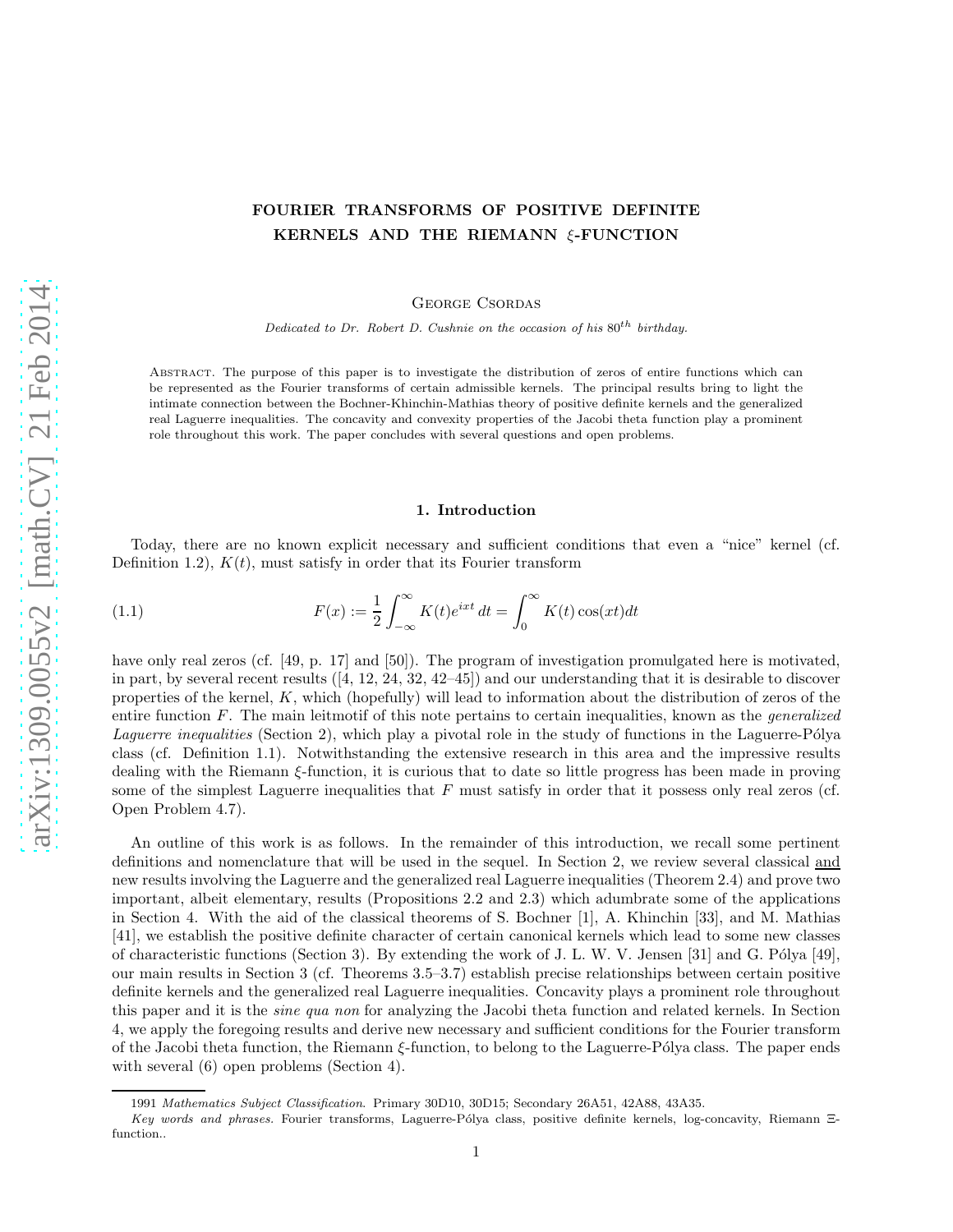# FOURIER TRANSFORMS OF POSITIVE DEFINITE KERNELS AND THE RIEMANN ξ-FUNCTION

George Csordas

Dedicated to Dr. Robert D. Cushnie on the occasion of his  $80^{th}$  birthday.

Abstract. The purpose of this paper is to investigate the distribution of zeros of entire functions which can be represented as the Fourier transforms of certain admissible kernels. The principal results bring to light the intimate connection between the Bochner-Khinchin-Mathias theory of positive definite kernels and the generalized real Laguerre inequalities. The concavity and convexity properties of the Jacobi theta function play a prominent role throughout this work. The paper concludes with several questions and open problems.

# 1. Introduction

Today, there are no known explicit necessary and sufficient conditions that even a "nice" kernel (cf. Definition 1.2),  $K(t)$ , must satisfy in order that its Fourier transform

(1.1) 
$$
F(x) := \frac{1}{2} \int_{-\infty}^{\infty} K(t)e^{ixt} dt = \int_{0}^{\infty} K(t) \cos(xt) dt
$$

have only real zeros (cf. [49, p. 17] and [50]). The program of investigation promulgated here is motivated. in part, by several recent results ([4, 12, 24, 32, 42–45]) and our understanding that it is desirable to discover properties of the kernel, K, which (hopefully) will lead to information about the distribution of zeros of the entire function  $F$ . The main leitmotif of this note pertains to certain inequalities, known as the *generalized Laquerre inequalities* (Section 2), which play a pivotal role in the study of functions in the Laguerre-Pólya class (cf. Definition 1.1). Notwithstanding the extensive research in this area and the impressive results dealing with the Riemann ξ-function, it is curious that to date so little progress has been made in proving some of the simplest Laguerre inequalities that  $F$  must satisfy in order that it possess only real zeros (cf. Open Problem 4.7).

An outline of this work is as follows. In the remainder of this introduction, we recall some pertinent definitions and nomenclature that will be used in the sequel. In Section 2, we review several classical and new results involving the Laguerre and the generalized real Laguerre inequalities (Theorem 2.4) and prove two important, albeit elementary, results (Propositions 2.2 and 2.3) which adumbrate some of the applications in Section 4. With the aid of the classical theorems of S. Bochner [1], A. Khinchin [33], and M. Mathias [41], we establish the positive definite character of certain canonical kernels which lead to some new classes of characteristic functions (Section 3). By extending the work of J. L. W. V. Jensen [31] and G. Pólya [49], our main results in Section 3 (cf. Theorems 3.5–3.7) establish precise relationships between certain positive definite kernels and the generalized real Laguerre inequalities. Concavity plays a prominent role throughout this paper and it is the sine qua non for analyzing the Jacobi theta function and related kernels. In Section 4, we apply the foregoing results and derive new necessary and sufficient conditions for the Fourier transform of the Jacobi theta function, the Riemann ξ-function, to belong to the Laguerre-P´olya class. The paper ends with several  $(6)$  open problems (Section 4).

<sup>1991</sup> Mathematics Subject Classification. Primary 30D10, 30D15; Secondary 26A51, 42A88, 43A35.

Key words and phrases. Fourier transforms, Laguerre-Pólya class, positive definite kernels, log-concavity, Riemann Ξfunction..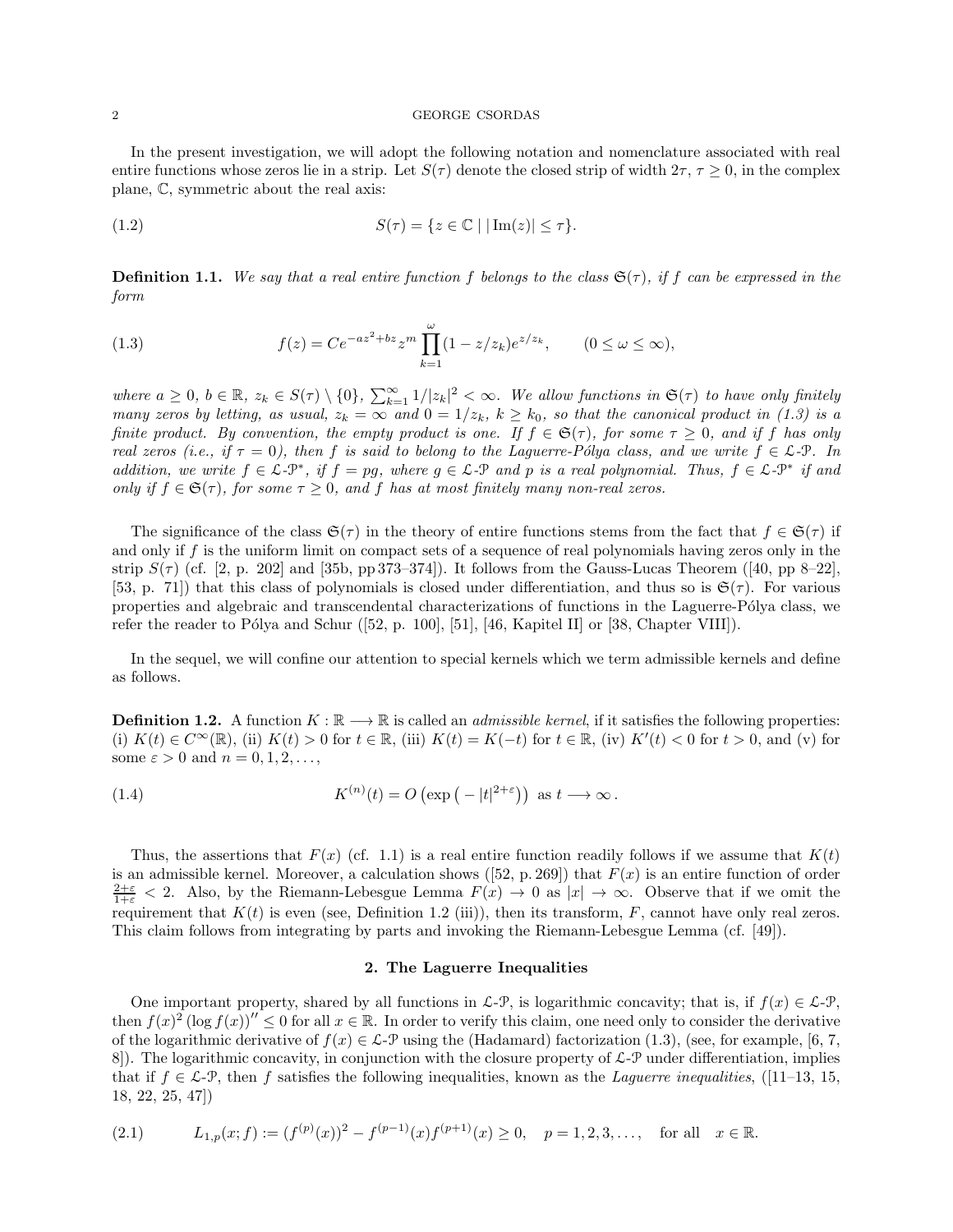In the present investigation, we will adopt the following notation and nomenclature associated with real entire functions whose zeros lie in a strip. Let  $S(\tau)$  denote the closed strip of width  $2\tau$ ,  $\tau \geq 0$ , in the complex plane, C, symmetric about the real axis:

(1.2) 
$$
S(\tau) = \{z \in \mathbb{C} \mid |\operatorname{Im}(z)| \leq \tau\}.
$$

**Definition 1.1.** We say that a real entire function f belongs to the class  $\mathfrak{S}(\tau)$ , if f can be expressed in the form

(1.3) 
$$
f(z) = Ce^{-az^2 + bz} z^m \prod_{k=1}^{\omega} (1 - z/z_k) e^{z/z_k}, \qquad (0 \le \omega \le \infty),
$$

where  $a \geq 0$ ,  $b \in \mathbb{R}$ ,  $z_k \in S(\tau) \setminus \{0\}$ ,  $\sum_{k=1}^{\infty} 1/|z_k|^2 < \infty$ . We allow functions in  $\mathfrak{S}(\tau)$  to have only finitely many zeros by letting, as usual,  $z_k = \infty$  and  $0 = 1/z_k$ ,  $k \ge k_0$ , so that the canonical product in (1.3) is a finite product. By convention, the empty product is one. If  $f \in \mathfrak{S}(\tau)$ , for some  $\tau \geq 0$ , and if f has only real zeros (i.e., if  $\tau = 0$ ), then f is said to belong to the Laguerre-Pólya class, and we write  $f \in \mathcal{L}\text{-}P$ . In addition, we write  $f \in \mathcal{L} - \mathcal{P}^*$ , if  $f = pg$ , where  $g \in \mathcal{L} - \mathcal{P}$  and p is a real polynomial. Thus,  $f \in \mathcal{L} - \mathcal{P}^*$  if and only if  $f \in \mathfrak{S}(\tau)$ , for some  $\tau \geq 0$ , and f has at most finitely many non-real zeros.

The significance of the class  $\mathfrak{S}(\tau)$  in the theory of entire functions stems from the fact that  $f \in \mathfrak{S}(\tau)$  if and only if  $f$  is the uniform limit on compact sets of a sequence of real polynomials having zeros only in the strip  $S(\tau)$  (cf. [2, p. 202] and [35b, pp 373–374]). It follows from the Gauss-Lucas Theorem ([40, pp 8–22], [53, p. 71]) that this class of polynomials is closed under differentiation, and thus so is  $\mathfrak{S}(\tau)$ . For various properties and algebraic and transcendental characterizations of functions in the Laguerre-Pólya class, we refer the reader to Pólya and Schur ([52, p. 100], [51], [46, Kapitel II] or [38, Chapter VIII]).

In the sequel, we will confine our attention to special kernels which we term admissible kernels and define as follows.

**Definition 1.2.** A function  $K : \mathbb{R} \longrightarrow \mathbb{R}$  is called an *admissible kernel*, if it satisfies the following properties: (i)  $K(t) \in C^{\infty}(\mathbb{R})$ , (ii)  $K(t) > 0$  for  $t \in \mathbb{R}$ , (iii)  $K(t) = K(-t)$  for  $t \in \mathbb{R}$ , (iv)  $K'(t) < 0$  for  $t > 0$ , and (v) for some  $\varepsilon > 0$  and  $n = 0, 1, 2, \ldots$ ,

(1.4) 
$$
K^{(n)}(t) = O\left(\exp\left(-|t|^{2+\varepsilon}\right)\right) \text{ as } t \longrightarrow \infty.
$$

Thus, the assertions that  $F(x)$  (cf. 1.1) is a real entire function readily follows if we assume that  $K(t)$ is an admissible kernel. Moreover, a calculation shows ([52, p. 269]) that  $F(x)$  is an entire function of order  $\frac{2+\varepsilon}{1+\varepsilon}$  < 2. Also, by the Riemann-Lebesgue Lemma  $F(x) \to 0$  as  $|x| \to \infty$ . Observe that if we omit the requirement that  $K(t)$  is even (see, Definition 1.2 (iii)), then its transform, F, cannot have only real zeros. This claim follows from integrating by parts and invoking the Riemann-Lebesgue Lemma (cf. [49]).

# 2. The Laguerre Inequalities

One important property, shared by all functions in  $\mathcal{L}\text{-}\mathcal{P}$ , is logarithmic concavity; that is, if  $f(x) \in \mathcal{L}\text{-}\mathcal{P}$ , then  $f(x)^2 (\log f(x))'' \leq 0$  for all  $x \in \mathbb{R}$ . In order to verify this claim, one need only to consider the derivative of the logarithmic derivative of  $f(x) \in \mathcal{L}\text{-}\mathcal{P}$  using the (Hadamard) factorization (1.3), (see, for example, [6, 7, 8. 8]). The logarithmic concavity, in conjunction with the closure property of  $\mathcal{L}\text{-}\mathcal{P}$  under differentiation, implies that if  $f \in \mathcal{L}$ -P, then f satisfies the following inequalities, known as the *Laguerre inequalities*, ([11–13, 15, 18, 22, 25, 47])

$$
(2.1) \tL_{1,p}(x;f) := (f^{(p)}(x))^2 - f^{(p-1)}(x)f^{(p+1)}(x) \ge 0, \quad p = 1, 2, 3, \dots, \quad \text{for all} \quad x \in \mathbb{R}.
$$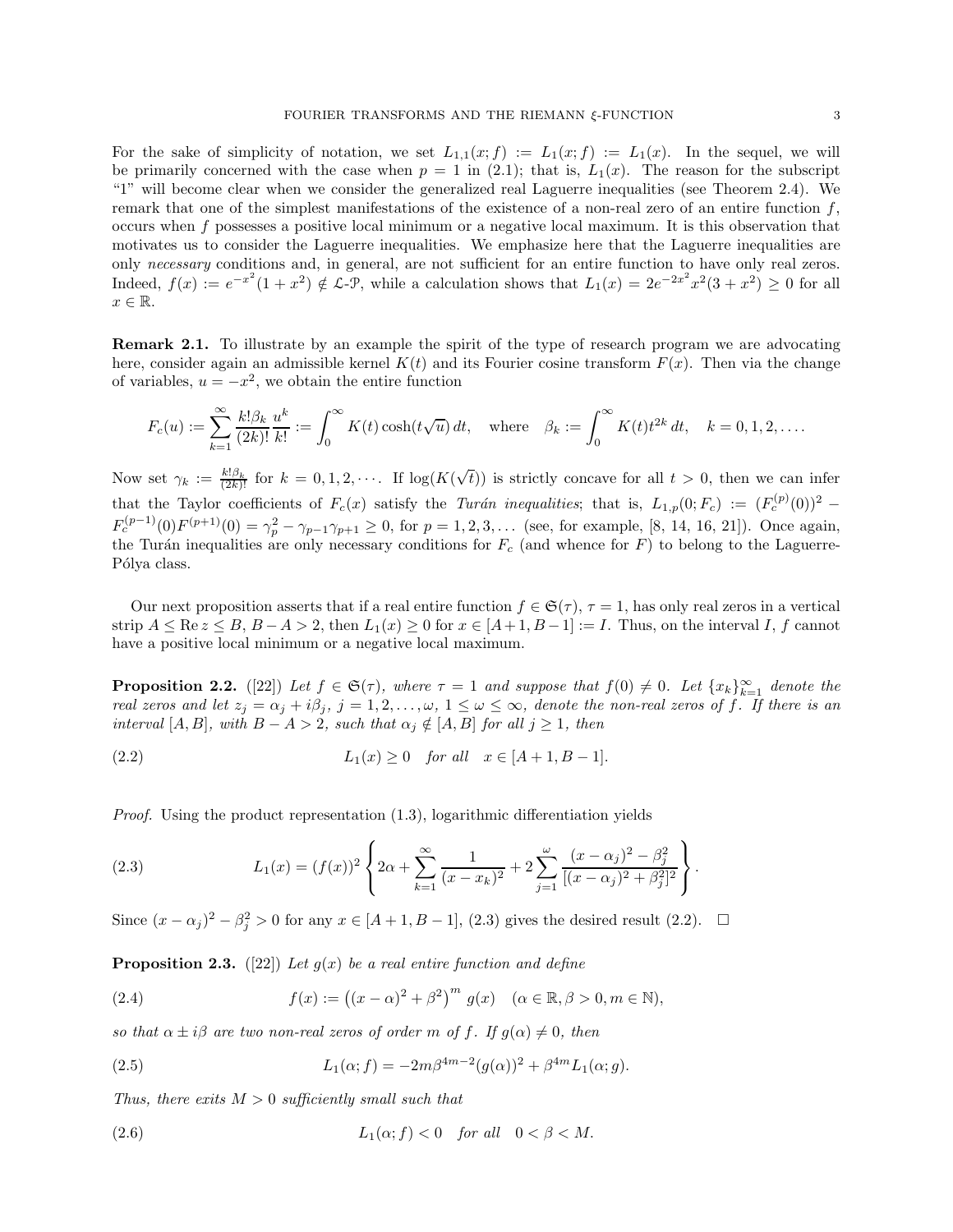For the sake of simplicity of notation, we set  $L_{1,1}(x; f) := L_1(x; f) := L_1(x)$ . In the sequel, we will be primarily concerned with the case when  $p = 1$  in (2.1); that is,  $L_1(x)$ . The reason for the subscript "1" will become clear when we consider the generalized real Laguerre inequalities (see Theorem 2.4). We remark that one of the simplest manifestations of the existence of a non-real zero of an entire function f, occurs when f possesses a positive local minimum or a negative local maximum. It is this observation that motivates us to consider the Laguerre inequalities. We emphasize here that the Laguerre inequalities are only necessary conditions and, in general, are not sufficient for an entire function to have only real zeros. Indeed,  $f(x) := e^{-x^2}(1+x^2) \notin \mathcal{L}\text{-}\mathcal{P}$ , while a calculation shows that  $L_1(x) = 2e^{-2x^2}x^2(3+x^2) \ge 0$  for all  $x \in \mathbb{R}$ .

Remark 2.1. To illustrate by an example the spirit of the type of research program we are advocating here, consider again an admissible kernel  $K(t)$  and its Fourier cosine transform  $F(x)$ . Then via the change of variables,  $u = -x^2$ , we obtain the entire function

$$
F_c(u) := \sum_{k=1}^{\infty} \frac{k! \beta_k}{(2k)!} \frac{u^k}{k!} := \int_0^{\infty} K(t) \cosh(t\sqrt{u}) dt, \text{ where } \beta_k := \int_0^{\infty} K(t) t^{2k} dt, \quad k = 0, 1, 2, \dots
$$

Now set  $\gamma_k := \frac{k! \beta_k}{(2k)!}$  for  $k = 0, 1, 2, \cdots$ . If  $\log(K(\sqrt{t}))$  is strictly concave for all  $t > 0$ , then we can infer that the Taylor coefficients of  $F_c(x)$  satisfy the Turán inequalities; that is,  $L_{1,p}(0;F_c) := (F_c^{(p)}(0))^2$  –  $F_c^{(p-1)}(0)F^{(p+1)}(0) = \gamma_p^2 - \gamma_{p-1}\gamma_{p+1} \ge 0$ , for  $p = 1, 2, 3, \ldots$  (see, for example, [8, 14, 16, 21]). Once again, the Turán inequalities are only necessary conditions for  $F_c$  (and whence for F) to belong to the Laguerre-Pólya class.

Our next proposition asserts that if a real entire function  $f \in \mathfrak{S}(\tau)$ ,  $\tau = 1$ , has only real zeros in a vertical strip  $A \leq \text{Re } z \leq B$ ,  $B - A > 2$ , then  $L_1(x) \geq 0$  for  $x \in [A + 1, B - 1] := I$ . Thus, on the interval I, f cannot have a positive local minimum or a negative local maximum.

**Proposition 2.2.** ([22]) Let  $f \in \mathfrak{S}(\tau)$ , where  $\tau = 1$  and suppose that  $f(0) \neq 0$ . Let  $\{x_k\}_{k=1}^{\infty}$  denote the real zeros and let  $z_i = \alpha_i + i\beta_i$ ,  $j = 1, 2, ..., \omega$ ,  $1 \leq \omega \leq \infty$ , denote the non-real zeros of f. If there is an interval [A, B], with  $B - A > 2$ , such that  $\alpha_j \notin [A, B]$  for all  $j \ge 1$ , then

(2.2) 
$$
L_1(x) \ge 0
$$
 for all  $x \in [A+1, B-1]$ .

Proof. Using the product representation (1.3), logarithmic differentiation yields

(2.3) 
$$
L_1(x) = (f(x))^2 \left\{ 2\alpha + \sum_{k=1}^{\infty} \frac{1}{(x - x_k)^2} + 2 \sum_{j=1}^{\omega} \frac{(x - \alpha_j)^2 - \beta_j^2}{[(x - \alpha_j)^2 + \beta_j^2]^2} \right\}.
$$

Since  $(x - \alpha_j)^2 - \beta_j^2 > 0$  for any  $x \in [A + 1, B - 1]$ , (2.3) gives the desired result (2.2).  $\Box$ 

**Proposition 2.3.** ([22]) Let  $g(x)$  be a real entire function and define

(2.4) 
$$
f(x) := ((x - \alpha)^2 + \beta^2)^m g(x) \quad (\alpha \in \mathbb{R}, \beta > 0, m \in \mathbb{N}),
$$

so that  $\alpha \pm i\beta$  are two non-real zeros of order m of f. If  $g(\alpha) \neq 0$ , then

(2.5) 
$$
L_1(\alpha; f) = -2m\beta^{4m-2}(g(\alpha))^2 + \beta^{4m}L_1(\alpha; g).
$$

Thus, there exits  $M > 0$  sufficiently small such that

$$
(2.6) \t\t\t L_1(\alpha; f) < 0 \t\tfor all \t 0 < \beta < M.
$$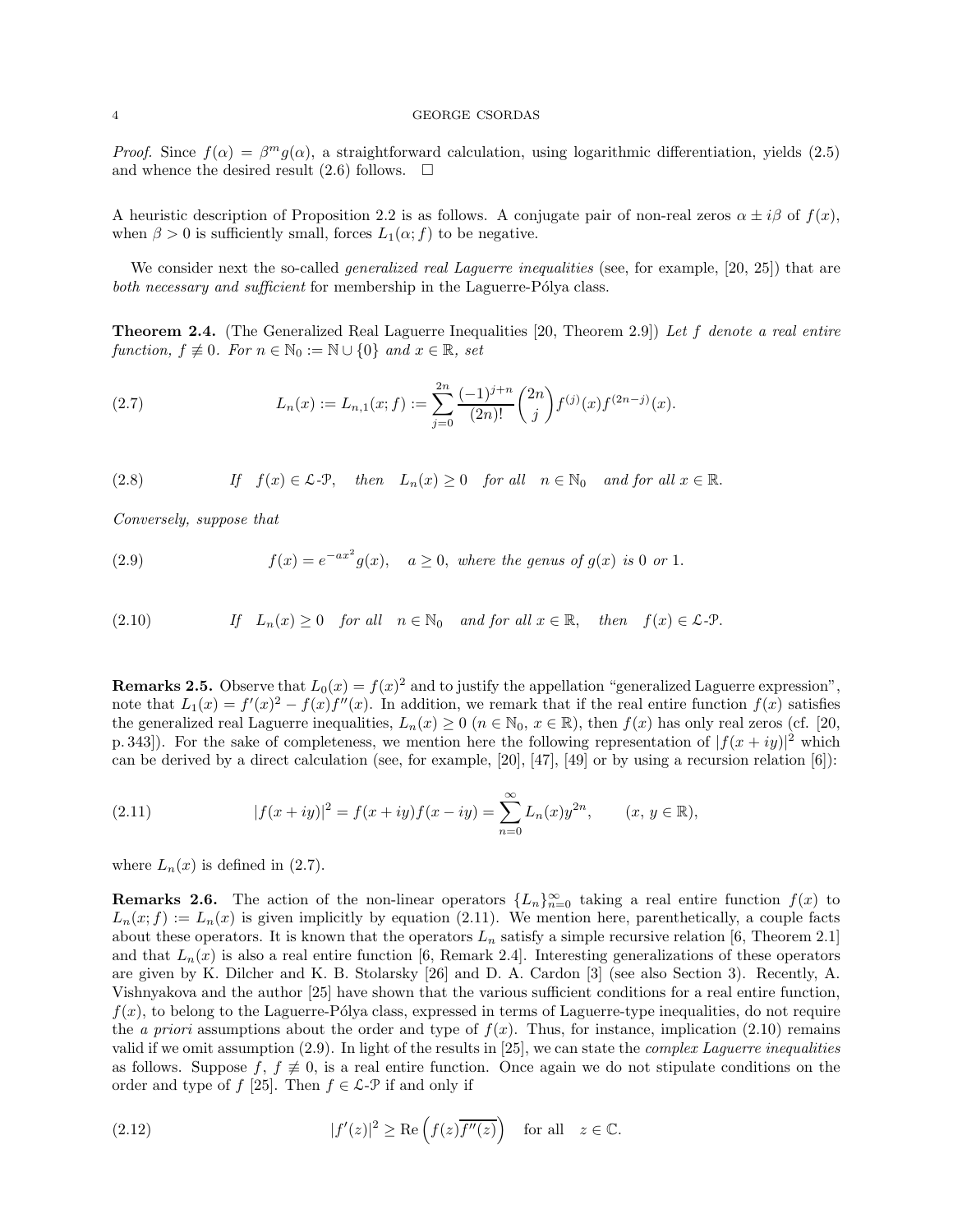Proof. Since  $f(\alpha) = \beta^m g(\alpha)$ , a straightforward calculation, using logarithmic differentiation, yields (2.5) and whence the desired result  $(2.6)$  follows.  $\Box$ 

A heuristic description of Proposition 2.2 is as follows. A conjugate pair of non-real zeros  $\alpha \pm i\beta$  of  $f(x)$ , when  $\beta > 0$  is sufficiently small, forces  $L_1(\alpha; f)$  to be negative.

We consider next the so-called *generalized real Laguerre inequalities* (see, for example, [20, 25]) that are both necessary and sufficient for membership in the Laguerre-Pólya class.

**Theorem 2.4.** (The Generalized Real Laguerre Inequalities [20, Theorem 2.9]) Let f denote a real entire function,  $f \not\equiv 0$ . For  $n \in \mathbb{N}_0 := \mathbb{N} \cup \{0\}$  and  $x \in \mathbb{R}$ , set

(2.7) 
$$
L_n(x) := L_{n,1}(x; f) := \sum_{j=0}^{2n} \frac{(-1)^{j+n}}{(2n)!} {2n \choose j} f^{(j)}(x) f^{(2n-j)}(x).
$$

(2.8) If 
$$
f(x) \in \mathcal{L} \text{-P}
$$
, then  $L_n(x) \ge 0$  for all  $n \in \mathbb{N}_0$  and for all  $x \in \mathbb{R}$ .

Conversely, suppose that

(2.9) 
$$
f(x) = e^{-ax^2}g(x), \quad a \ge 0, \text{ where the genus of } g(x) \text{ is 0 or 1.}
$$

(2.10) If 
$$
L_n(x) \ge 0
$$
 for all  $n \in \mathbb{N}_0$  and for all  $x \in \mathbb{R}$ , then  $f(x) \in \mathcal{L}\text{-P}$ .

**Remarks 2.5.** Observe that  $L_0(x) = f(x)^2$  and to justify the appellation "generalized Laguerre expression", note that  $L_1(x) = f'(x)^2 - f(x)f''(x)$ . In addition, we remark that if the real entire function  $f(x)$  satisfies the generalized real Laguerre inequalities,  $L_n(x) \geq 0$   $(n \in \mathbb{N}_0, x \in \mathbb{R})$ , then  $f(x)$  has only real zeros (cf. [20, p. 343]). For the sake of completeness, we mention here the following representation of  $|f(x+iy)|^2$  which can be derived by a direct calculation (see, for example, [20], [47], [49] or by using a recursion relation [6]):

(2.11) 
$$
|f(x+iy)|^2 = f(x+iy)f(x-iy) = \sum_{n=0}^{\infty} L_n(x)y^{2n}, \qquad (x, y \in \mathbb{R}),
$$

where  $L_n(x)$  is defined in (2.7).

**Remarks 2.6.** The action of the non-linear operators  ${L_n}_{n=0}^{\infty}$  taking a real entire function  $f(x)$  to  $L_n(x; f) := L_n(x)$  is given implicitly by equation (2.11). We mention here, parenthetically, a couple facts about these operators. It is known that the operators  $L_n$  satisfy a simple recursive relation [6, Theorem 2.1] and that  $L_n(x)$  is also a real entire function [6, Remark 2.4]. Interesting generalizations of these operators are given by K. Dilcher and K. B. Stolarsky [26] and D. A. Cardon [3] (see also Section 3). Recently, A. Vishnyakova and the author [25] have shown that the various sufficient conditions for a real entire function,  $f(x)$ , to belong to the Laguerre-Pólya class, expressed in terms of Laguerre-type inequalities, do not require the *a priori* assumptions about the order and type of  $f(x)$ . Thus, for instance, implication (2.10) remains valid if we omit assumption  $(2.9)$ . In light of the results in  $[25]$ , we can state the *complex Laguerre inequalities* as follows. Suppose f,  $f \neq 0$ , is a real entire function. Once again we do not stipulate conditions on the order and type of f [25]. Then  $f \in \mathcal{L}$ - $\mathcal{P}$  if and only if

(2.12) 
$$
|f'(z)|^2 \ge \text{Re}\left(f(z)\overline{f''(z)}\right) \quad \text{for all} \quad z \in \mathbb{C}.
$$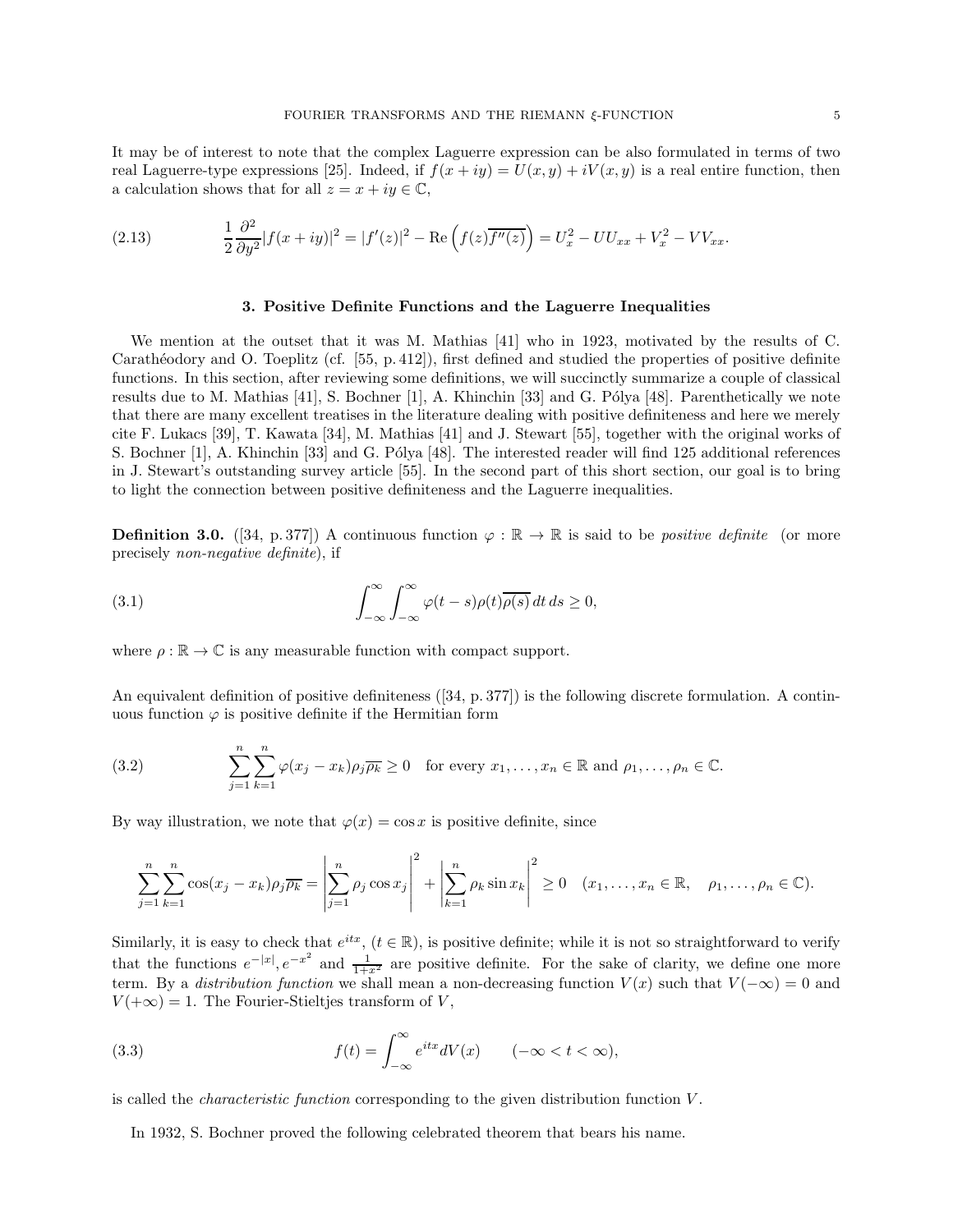It may be of interest to note that the complex Laguerre expression can be also formulated in terms of two real Laguerre-type expressions [25]. Indeed, if  $f(x + iy) = U(x, y) + iV(x, y)$  is a real entire function, then a calculation shows that for all  $z = x + iy \in \mathbb{C}$ ,

(2.13) 
$$
\frac{1}{2} \frac{\partial^2}{\partial y^2} |f(x+iy)|^2 = |f'(z)|^2 - \text{Re}\left(f(z)\overline{f''(z)}\right) = U_x^2 - UU_{xx} + V_x^2 - VV_{xx}.
$$

# 3. Positive Definite Functions and the Laguerre Inequalities

We mention at the outset that it was M. Mathias [41] who in 1923, motivated by the results of C. Carath´eodory and O. Toeplitz (cf. [55, p. 412]), first defined and studied the properties of positive definite functions. In this section, after reviewing some definitions, we will succinctly summarize a couple of classical results due to M. Mathias [41], S. Bochner [1], A. Khinchin [33] and G. Pólya [48]. Parenthetically we note that there are many excellent treatises in the literature dealing with positive definiteness and here we merely cite F. Lukacs [39], T. Kawata [34], M. Mathias [41] and J. Stewart [55], together with the original works of S. Bochner [1], A. Khinchin [33] and G. Pólya [48]. The interested reader will find 125 additional references in J. Stewart's outstanding survey article [55]. In the second part of this short section, our goal is to bring to light the connection between positive definiteness and the Laguerre inequalities.

**Definition 3.0.** ([34, p. 377]) A continuous function  $\varphi : \mathbb{R} \to \mathbb{R}$  is said to be *positive definite* (or more precisely non-negative definite), if

(3.1) 
$$
\int_{-\infty}^{\infty} \int_{-\infty}^{\infty} \varphi(t-s) \rho(t) \overline{\rho(s)} dt ds \ge 0,
$$

where  $\rho : \mathbb{R} \to \mathbb{C}$  is any measurable function with compact support.

An equivalent definition of positive definiteness ([34, p. 377]) is the following discrete formulation. A continuous function  $\varphi$  is positive definite if the Hermitian form

(3.2) 
$$
\sum_{j=1}^{n} \sum_{k=1}^{n} \varphi(x_j - x_k) \rho_j \overline{\rho_k} \ge 0 \text{ for every } x_1, \dots, x_n \in \mathbb{R} \text{ and } \rho_1, \dots, \rho_n \in \mathbb{C}.
$$

By way illustration, we note that  $\varphi(x) = \cos x$  is positive definite, since

$$
\sum_{j=1}^n \sum_{k=1}^n \cos(x_j - x_k) \rho_j \overline{\rho_k} = \left| \sum_{j=1}^n \rho_j \cos x_j \right|^2 + \left| \sum_{k=1}^n \rho_k \sin x_k \right|^2 \ge 0 \quad (x_1, \dots, x_n \in \mathbb{R}, \quad \rho_1, \dots, \rho_n \in \mathbb{C}).
$$

Similarly, it is easy to check that  $e^{itx}$ ,  $(t \in \mathbb{R})$ , is positive definite; while it is not so straightforward to verify that the functions  $e^{-|x|}$ ,  $e^{-x^2}$  and  $\frac{1}{1+x^2}$  are positive definite. For the sake of clarity, we define one more term. By a *distribution function* we shall mean a non-decreasing function  $V(x)$  such that  $V(-\infty) = 0$  and  $V(+\infty) = 1$ . The Fourier-Stieltjes transform of V,

(3.3) 
$$
f(t) = \int_{-\infty}^{\infty} e^{itx} dV(x) \qquad (-\infty < t < \infty),
$$

is called the *characteristic function* corresponding to the given distribution function  $V$ .

In 1932, S. Bochner proved the following celebrated theorem that bears his name.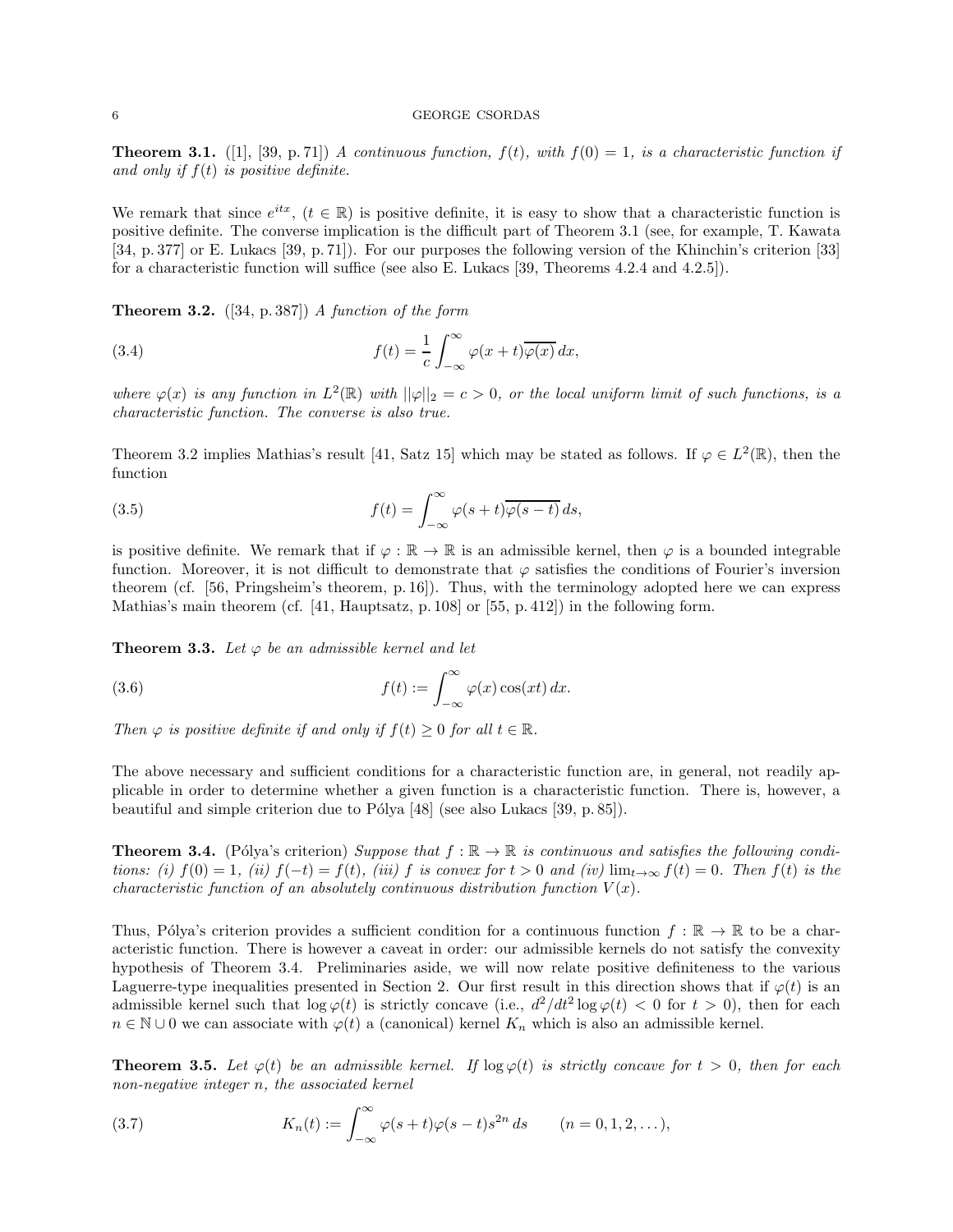**Theorem 3.1.** ([1], [39, p. 71]) A continuous function,  $f(t)$ , with  $f(0) = 1$ , is a characteristic function if and only if  $f(t)$  is positive definite.

We remark that since  $e^{itx}$ ,  $(t \in \mathbb{R})$  is positive definite, it is easy to show that a characteristic function is positive definite. The converse implication is the difficult part of Theorem 3.1 (see, for example, T. Kawata [34, p. 377] or E. Lukacs [39, p. 71]). For our purposes the following version of the Khinchin's criterion [33] for a characteristic function will suffice (see also E. Lukacs [39, Theorems 4.2.4 and 4.2.5]).

**Theorem 3.2.** ([34, p. 387]) A function of the form

(3.4) 
$$
f(t) = \frac{1}{c} \int_{-\infty}^{\infty} \varphi(x+t) \overline{\varphi(x)} dx,
$$

where  $\varphi(x)$  is any function in  $L^2(\mathbb{R})$  with  $||\varphi||_2 = c > 0$ , or the local uniform limit of such functions, is a characteristic function. The converse is also true.

Theorem 3.2 implies Mathias's result [41, Satz 15] which may be stated as follows. If  $\varphi \in L^2(\mathbb{R})$ , then the function

(3.5) 
$$
f(t) = \int_{-\infty}^{\infty} \varphi(s+t) \overline{\varphi(s-t)} ds,
$$

is positive definite. We remark that if  $\varphi : \mathbb{R} \to \mathbb{R}$  is an admissible kernel, then  $\varphi$  is a bounded integrable function. Moreover, it is not difficult to demonstrate that  $\varphi$  satisfies the conditions of Fourier's inversion theorem (cf. [56, Pringsheim's theorem, p. 16]). Thus, with the terminology adopted here we can express Mathias's main theorem (cf. [41, Hauptsatz, p. 108] or [55, p. 412]) in the following form.

**Theorem 3.3.** Let  $\varphi$  be an admissible kernel and let

(3.6) 
$$
f(t) := \int_{-\infty}^{\infty} \varphi(x) \cos(xt) dx.
$$

Then  $\varphi$  is positive definite if and only if  $f(t) \geq 0$  for all  $t \in \mathbb{R}$ .

The above necessary and sufficient conditions for a characteristic function are, in general, not readily applicable in order to determine whether a given function is a characteristic function. There is, however, a beautiful and simple criterion due to Pólya  $[48]$  (see also Lukacs  $[39, p. 85]$ ).

**Theorem 3.4.** (Pólya's criterion) Suppose that  $f : \mathbb{R} \to \mathbb{R}$  is continuous and satisfies the following conditions: (i)  $f(0) = 1$ , (ii)  $f(-t) = f(t)$ , (iii) f is convex for  $t > 0$  and (iv)  $\lim_{t\to\infty} f(t) = 0$ . Then  $f(t)$  is the characteristic function of an absolutely continuous distribution function  $V(x)$ .

Thus, Pólya's criterion provides a sufficient condition for a continuous function  $f : \mathbb{R} \to \mathbb{R}$  to be a characteristic function. There is however a caveat in order: our admissible kernels do not satisfy the convexity hypothesis of Theorem 3.4. Preliminaries aside, we will now relate positive definiteness to the various Laguerre-type inequalities presented in Section 2. Our first result in this direction shows that if  $\varphi(t)$  is an admissible kernel such that  $\log \varphi(t)$  is strictly concave (i.e.,  $d^2/dt^2 \log \varphi(t) < 0$  for  $t > 0$ ), then for each  $n \in \mathbb{N} \cup 0$  we can associate with  $\varphi(t)$  a (canonical) kernel  $K_n$  which is also an admissible kernel.

**Theorem 3.5.** Let  $\varphi(t)$  be an admissible kernel. If  $\log \varphi(t)$  is strictly concave for  $t > 0$ , then for each non-negative integer n, the associated kernel

(3.7) 
$$
K_n(t) := \int_{-\infty}^{\infty} \varphi(s+t) \varphi(s-t) s^{2n} ds \qquad (n = 0, 1, 2, ...),
$$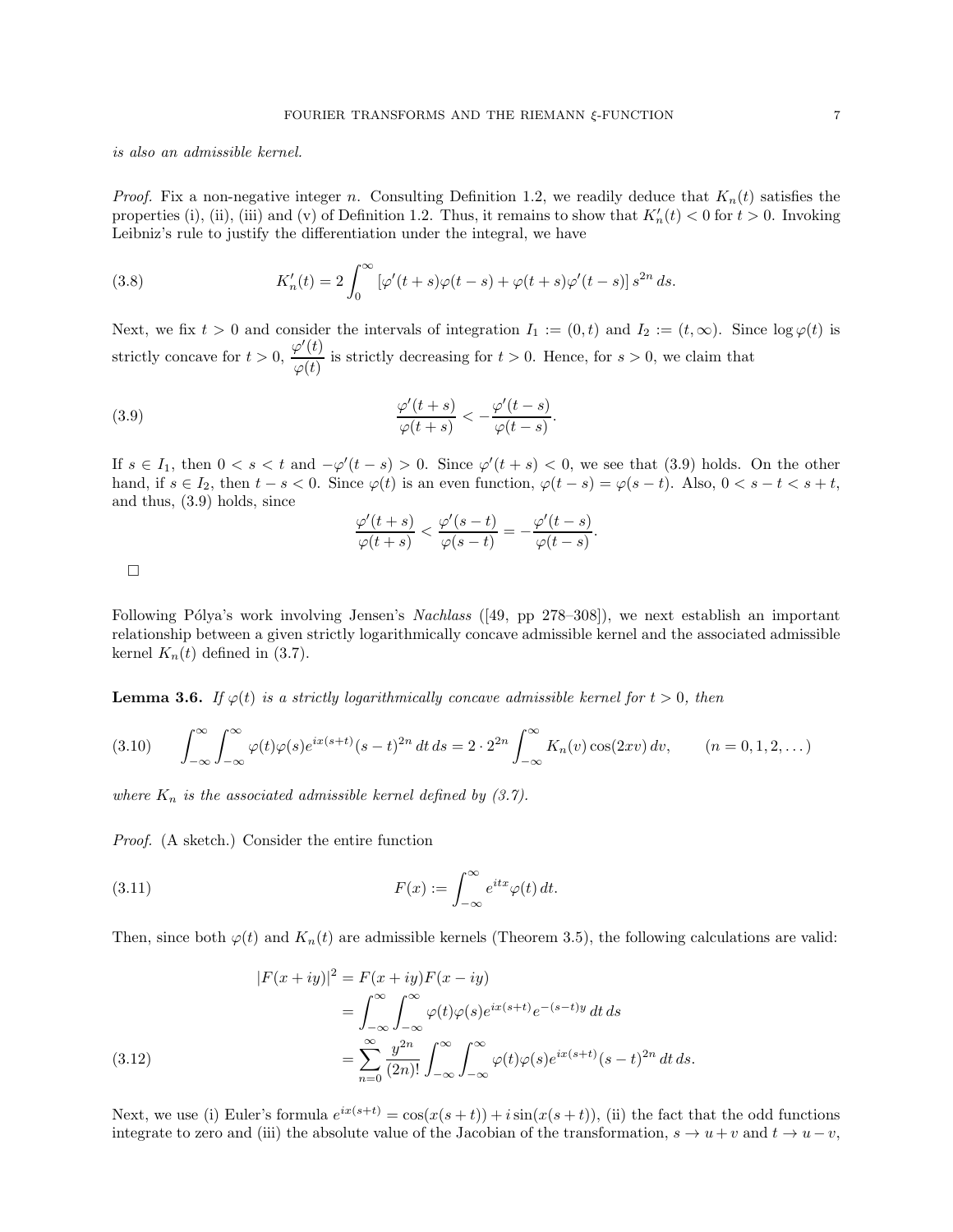is also an admissible kernel.

*Proof.* Fix a non-negative integer n. Consulting Definition 1.2, we readily deduce that  $K_n(t)$  satisfies the properties (i), (ii), (iii) and (v) of Definition 1.2. Thus, it remains to show that  $K'_n(t) < 0$  for  $t > 0$ . Invoking Leibniz's rule to justify the differentiation under the integral, we have

(3.8) 
$$
K'_n(t) = 2 \int_0^\infty \left[ \varphi'(t+s)\varphi(t-s) + \varphi(t+s)\varphi'(t-s) \right] s^{2n} ds.
$$

Next, we fix  $t > 0$  and consider the intervals of integration  $I_1 := (0, t)$  and  $I_2 := (t, \infty)$ . Since  $\log \varphi(t)$  is strictly concave for  $t > 0$ ,  $\frac{\varphi'(t)}{\varphi(t)}$  $\frac{\partial \phi(t)}{\partial \varphi(t)}$  is strictly decreasing for  $t > 0$ . Hence, for  $s > 0$ , we claim that

(3.9) 
$$
\frac{\varphi'(t+s)}{\varphi(t+s)} < -\frac{\varphi'(t-s)}{\varphi(t-s)}.
$$

If  $s \in I_1$ , then  $0 < s < t$  and  $-\varphi'(t-s) > 0$ . Since  $\varphi'(t+s) < 0$ , we see that (3.9) holds. On the other hand, if  $s \in I_2$ , then  $t - s < 0$ . Since  $\varphi(t)$  is an even function,  $\varphi(t - s) = \varphi(s - t)$ . Also,  $0 < s - t < s + t$ , and thus, (3.9) holds, since

$$
\frac{\varphi'(t+s)}{\varphi(t+s)} < \frac{\varphi'(s-t)}{\varphi(s-t)} = -\frac{\varphi'(t-s)}{\varphi(t-s)}.
$$

 $\Box$ 

Following Pólya's work involving Jensen's Nachlass ([49, pp  $278-308$ ]), we next establish an important relationship between a given strictly logarithmically concave admissible kernel and the associated admissible kernel  $K_n(t)$  defined in (3.7).

**Lemma 3.6.** If  $\varphi(t)$  is a strictly logarithmically concave admissible kernel for  $t > 0$ , then

$$
(3.10) \qquad \int_{-\infty}^{\infty} \int_{-\infty}^{\infty} \varphi(t)\varphi(s)e^{ix(s+t)}(s-t)^{2n} dt ds = 2 \cdot 2^{2n} \int_{-\infty}^{\infty} K_n(v) \cos(2xv) dv, \qquad (n = 0, 1, 2, ...)
$$

where  $K_n$  is the associated admissible kernel defined by (3.7).

Proof. (A sketch.) Consider the entire function

(3.11) 
$$
F(x) := \int_{-\infty}^{\infty} e^{itx} \varphi(t) dt.
$$

Then, since both  $\varphi(t)$  and  $K_n(t)$  are admissible kernels (Theorem 3.5), the following calculations are valid:

(3.12)  
\n
$$
|F(x+iy)|^2 = F(x+iy)F(x-iy)
$$
\n
$$
= \int_{-\infty}^{\infty} \int_{-\infty}^{\infty} \varphi(t)\varphi(s)e^{ix(s+t)}e^{-(s-t)y} dt ds
$$
\n
$$
= \sum_{n=0}^{\infty} \frac{y^{2n}}{(2n)!} \int_{-\infty}^{\infty} \int_{-\infty}^{\infty} \varphi(t)\varphi(s)e^{ix(s+t)}(s-t)^{2n} dt ds.
$$

Next, we use (i) Euler's formula  $e^{ix(s+t)} = \cos(x(s+t)) + i \sin(x(s+t))$ , (ii) the fact that the odd functions integrate to zero and (iii) the absolute value of the Jacobian of the transformation,  $s \to u + v$  and  $t \to u - v$ ,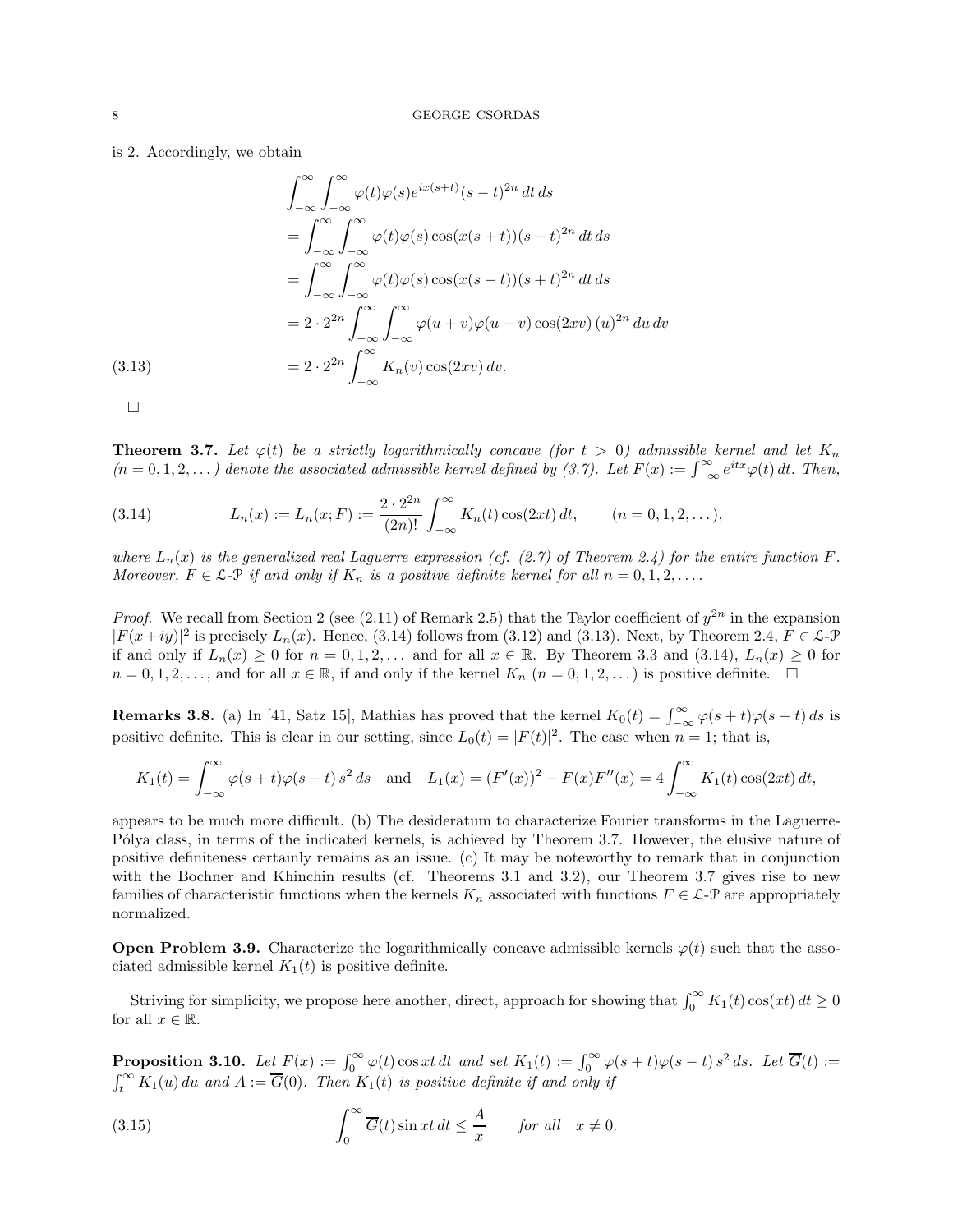# is 2. Accordingly, we obtain

$$
\int_{-\infty}^{\infty} \int_{-\infty}^{\infty} \varphi(t)\varphi(s)e^{ix(s+t)}(s-t)^{2n} dt ds
$$
  
= 
$$
\int_{-\infty}^{\infty} \int_{-\infty}^{\infty} \varphi(t)\varphi(s)\cos(x(s+t))(s-t)^{2n} dt ds
$$
  
= 
$$
\int_{-\infty}^{\infty} \int_{-\infty}^{\infty} \varphi(t)\varphi(s)\cos(x(s-t))(s+t)^{2n} dt ds
$$
  
= 
$$
2 \cdot 2^{2n} \int_{-\infty}^{\infty} \int_{-\infty}^{\infty} \varphi(u+v)\varphi(u-v)\cos(2xv) (u)^{2n} du dv
$$
  
(3.13)  
= 
$$
2 \cdot 2^{2n} \int_{-\infty}^{\infty} K_n(v)\cos(2xv) dv.
$$

 $\Box$ 

**Theorem 3.7.** Let  $\varphi(t)$  be a strictly logarithmically concave (for  $t > 0$ ) admissible kernel and let  $K_n$  $(n = 0, 1, 2, ...)$  denote the associated admissible kernel defined by (3.7). Let  $F(x) := \int_{-\infty}^{\infty} e^{itx} \varphi(t) dt$ . Then,

(3.14) 
$$
L_n(x) := L_n(x; F) := \frac{2 \cdot 2^{2n}}{(2n)!} \int_{-\infty}^{\infty} K_n(t) \cos(2xt) dt, \qquad (n = 0, 1, 2, ...),
$$

where  $L_n(x)$  is the generalized real Laguerre expression (cf. (2.7) of Theorem 2.4) for the entire function F. Moreover,  $F \in \mathcal{L}$ - $\mathcal{P}$  if and only if  $K_n$  is a positive definite kernel for all  $n = 0, 1, 2, \ldots$ .

*Proof.* We recall from Section 2 (see (2.11) of Remark 2.5) that the Taylor coefficient of  $y^{2n}$  in the expansion  $|F(x+iy)|^2$  is precisely  $L_n(x)$ . Hence, (3.14) follows from (3.12) and (3.13). Next, by Theorem 2.4,  $F \in \mathcal{L}$ - $\mathcal{P}$ if and only if  $L_n(x) \ge 0$  for  $n = 0, 1, 2, \ldots$  and for all  $x \in \mathbb{R}$ . By Theorem 3.3 and (3.14),  $L_n(x) \ge 0$  for  $n = 0, 1, 2, \ldots$ , and for all  $x \in \mathbb{R}$ , if and only if the kernel  $K_n$   $(n = 0, 1, 2, \ldots)$  is positive definite.  $\Box$ 

**Remarks 3.8.** (a) In [41, Satz 15], Mathias has proved that the kernel  $K_0(t) = \int_{-\infty}^{\infty} \varphi(s+t)\varphi(s-t) ds$  is positive definite. This is clear in our setting, since  $L_0(t) = |F(t)|^2$ . The case when  $n = 1$ ; that is,

$$
K_1(t) = \int_{-\infty}^{\infty} \varphi(s+t)\varphi(s-t) s^2 ds \text{ and } L_1(x) = (F'(x))^2 - F(x)F''(x) = 4 \int_{-\infty}^{\infty} K_1(t) \cos(2xt) dt,
$$

appears to be much more difficult. (b) The desideratum to characterize Fourier transforms in the Laguerre-Pólya class, in terms of the indicated kernels, is achieved by Theorem 3.7. However, the elusive nature of positive definiteness certainly remains as an issue. (c) It may be noteworthy to remark that in conjunction with the Bochner and Khinchin results (cf. Theorems 3.1 and 3.2), our Theorem 3.7 gives rise to new families of characteristic functions when the kernels  $K_n$  associated with functions  $F \in \mathcal{L}$ - $\mathcal{P}$  are appropriately normalized.

**Open Problem 3.9.** Characterize the logarithmically concave admissible kernels  $\varphi(t)$  such that the associated admissible kernel  $K_1(t)$  is positive definite.

Striving for simplicity, we propose here another, direct, approach for showing that  $\int_0^\infty K_1(t) \cos(xt) dt \ge 0$ for all  $x \in \mathbb{R}$ .

**Proposition 3.10.** Let  $F(x) := \int_0^\infty \varphi(t) \cos xt \, dt$  and set  $K_1(t) := \int_0^\infty \varphi(s+t) \varphi(s-t) \, s^2 \, ds$ . Let  $\overline{G}(t) :=$  $\int_t^{\infty} K_1(u) du$  and  $A := \overline{G}(0)$ . Then  $K_1(t)$  is positive definite if and only if

(3.15) 
$$
\int_0^\infty \overline{G}(t) \sin xt \, dt \le \frac{A}{x} \quad \text{for all} \quad x \ne 0.
$$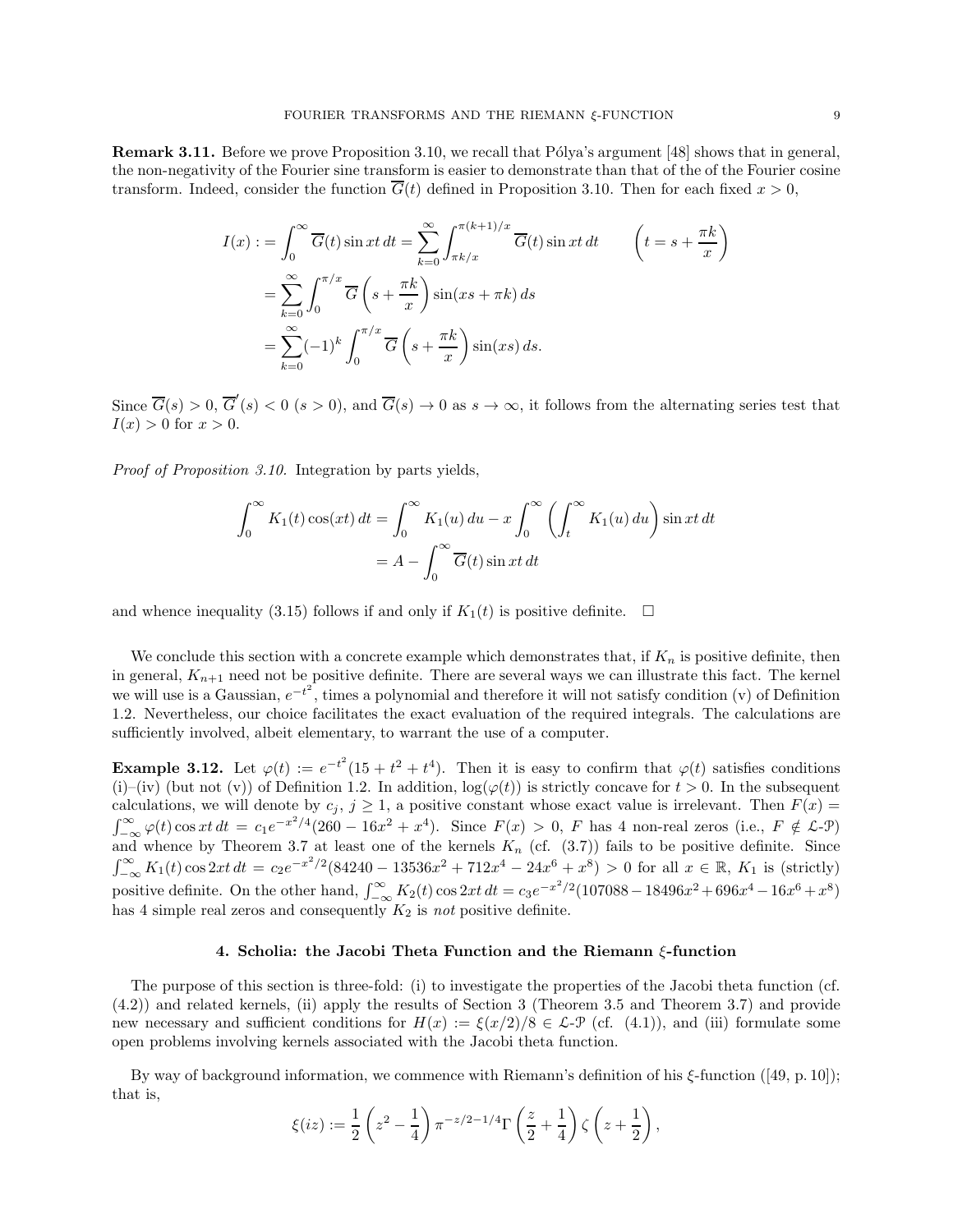**Remark 3.11.** Before we prove Proposition 3.10, we recall that Pólya's argument [48] shows that in general, the non-negativity of the Fourier sine transform is easier to demonstrate than that of the of the Fourier cosine transform. Indeed, consider the function  $\overline{G}(t)$  defined in Proposition 3.10. Then for each fixed  $x > 0$ ,

$$
I(x) := \int_0^\infty \overline{G}(t) \sin xt \, dt = \sum_{k=0}^\infty \int_{\pi k/x}^{\pi(k+1)/x} \overline{G}(t) \sin xt \, dt \qquad \left(t = s + \frac{\pi k}{x}\right)
$$

$$
= \sum_{k=0}^\infty \int_0^{\pi/x} \overline{G}\left(s + \frac{\pi k}{x}\right) \sin(xs + \pi k) \, ds
$$

$$
= \sum_{k=0}^\infty (-1)^k \int_0^{\pi/x} \overline{G}\left(s + \frac{\pi k}{x}\right) \sin(xs) \, ds.
$$

Since  $\overline{G}(s) > 0$ ,  $\overline{G}'(s) < 0$  ( $s > 0$ ), and  $\overline{G}(s) \to 0$  as  $s \to \infty$ , it follows from the alternating series test that  $I(x) > 0$  for  $x > 0$ .

Proof of Proposition 3.10. Integration by parts yields,

$$
\int_0^\infty K_1(t) \cos(xt) dt = \int_0^\infty K_1(u) du - x \int_0^\infty \left( \int_t^\infty K_1(u) du \right) \sin xt dt
$$

$$
= A - \int_0^\infty \overline{G}(t) \sin xt dt
$$

and whence inequality (3.15) follows if and only if  $K_1(t)$  is positive definite.  $\square$ 

We conclude this section with a concrete example which demonstrates that, if  $K_n$  is positive definite, then in general,  $K_{n+1}$  need not be positive definite. There are several ways we can illustrate this fact. The kernel we will use is a Gaussian,  $e^{-t^2}$ , times a polynomial and therefore it will not satisfy condition (v) of Definition 1.2. Nevertheless, our choice facilitates the exact evaluation of the required integrals. The calculations are sufficiently involved, albeit elementary, to warrant the use of a computer.

**Example 3.12.** Let  $\varphi(t) := e^{-t^2}(15 + t^2 + t^4)$ . Then it is easy to confirm that  $\varphi(t)$  satisfies conditions (i)–(iv) (but not (v)) of Definition 1.2. In addition,  $\log(\varphi(t))$  is strictly concave for  $t > 0$ . In the subsequent calculations, we will denote by  $c_j$ ,  $j \geq 1$ , a positive constant whose exact value is irrelevant. Then  $F(x)$  $\int_{-\infty}^{\infty} \varphi(t) \cos xt \, dt = c_1 e^{-x^2/4} (260 - 16x^2 + x^4)$ . Since  $F(x) > 0$ , F has 4 non-real zeros (i.e.,  $F \notin \mathcal{L}$ -P) and whence by Theorem 3.7 at least one of the kernels  $K_n$  (cf.  $(3.7)$ ) fails to be positive definite. Since  $\int_{-\infty}^{\infty} K_1(t) \cos 2xt \, dt = c_2 e^{-x^2/2} (84240 - 13536x^2 + 712x^4 - 24x^6 + x^8) > 0$  for all  $x \in \mathbb{R}, K_1$  is (strictly) positive definite. On the other hand,  $\int_{-\infty}^{\infty} K_2(t) \cos 2xt \, dt = c_3 e^{-x^2/2} (107088 - 18496x^2 + 696x^4 - 16x^6 + x^8)$ has 4 simple real zeros and consequently  $K_2$  is not positive definite.

### 4. Scholia: the Jacobi Theta Function and the Riemann ξ-function

The purpose of this section is three-fold: (i) to investigate the properties of the Jacobi theta function (cf. (4.2)) and related kernels, (ii) apply the results of Section 3 (Theorem 3.5 and Theorem 3.7) and provide new necessary and sufficient conditions for  $H(x) := \xi(x/2)/8 \in \mathcal{L}$ -P (cf. (4.1)), and (iii) formulate some open problems involving kernels associated with the Jacobi theta function.

By way of background information, we commence with Riemann's definition of his  $\xi$ -function ([49, p. 10]); that is,

$$
\xi(iz) := \frac{1}{2}\left(z^2 - \frac{1}{4}\right)\pi^{-z/2-1/4}\Gamma\left(\frac{z}{2} + \frac{1}{4}\right)\zeta\left(z + \frac{1}{2}\right),\,
$$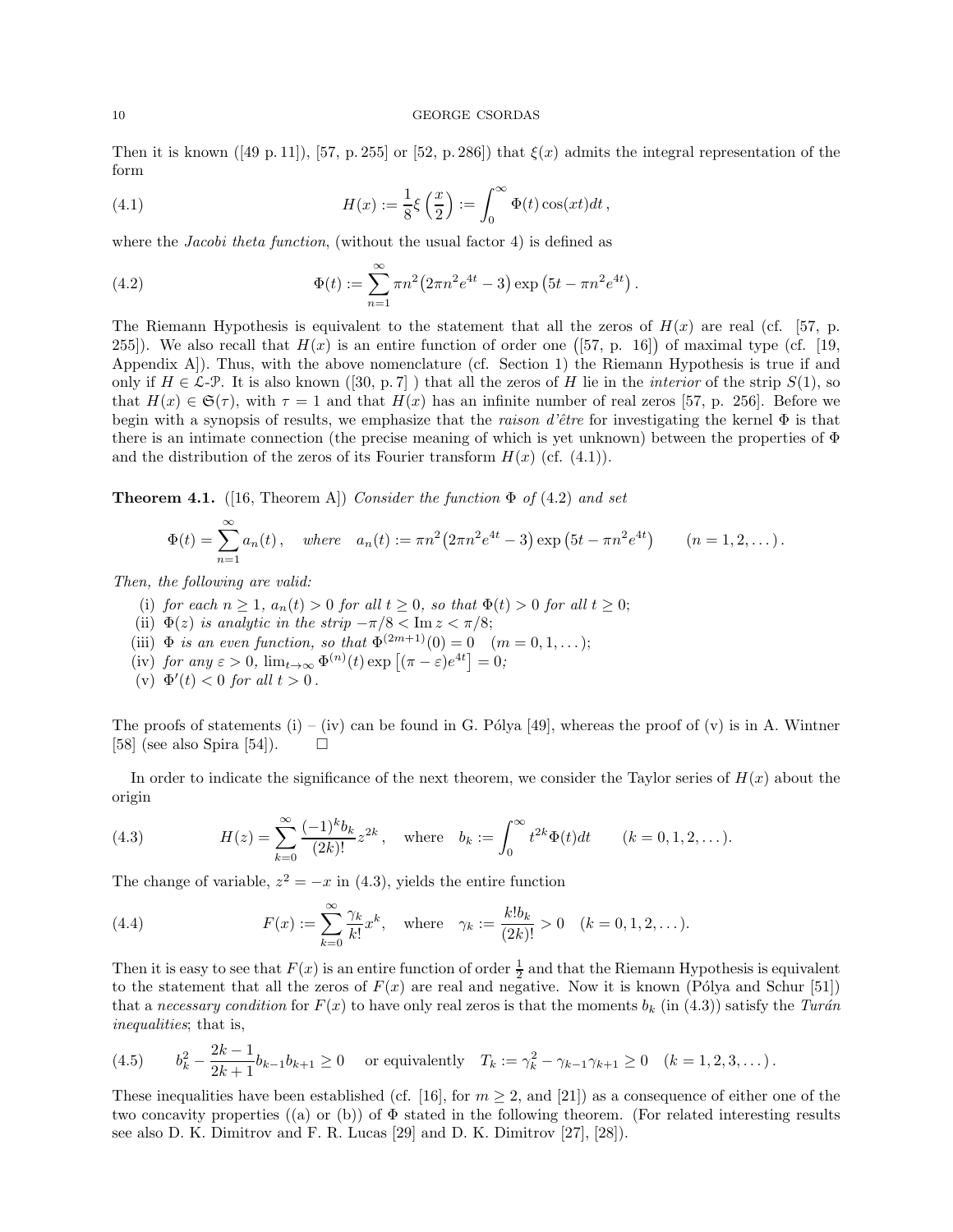Then it is known ([49 p. 11]), [57, p. 255] or [52, p. 286]) that  $\xi(x)$  admits the integral representation of the form

(4.1) 
$$
H(x) := \frac{1}{8}\xi\left(\frac{x}{2}\right) := \int_0^\infty \Phi(t)\cos(xt)dt,
$$

where the *Jacobi theta function*, (without the usual factor 4) is defined as

(4.2) 
$$
\Phi(t) := \sum_{n=1}^{\infty} \pi n^2 (2\pi n^2 e^{4t} - 3) \exp(5t - \pi n^2 e^{4t}).
$$

The Riemann Hypothesis is equivalent to the statement that all the zeros of  $H(x)$  are real (cf. [57, p. 255]). We also recall that  $H(x)$  is an entire function of order one ([57, p. 16]) of maximal type (cf. [19, Appendix A]). Thus, with the above nomenclature (cf. Section 1) the Riemann Hypothesis is true if and only if  $H \in \mathcal{L}\text{-}\mathcal{P}$ . It is also known ([30, p. 7]) that all the zeros of H lie in the *interior* of the strip  $S(1)$ , so that  $H(x) \in \mathfrak{S}(\tau)$ , with  $\tau = 1$  and that  $H(x)$  has an infinite number of real zeros [57, p. 256]. Before we begin with a synopsis of results, we emphasize that the raison d'être for investigating the kernel  $\Phi$  is that there is an intimate connection (the precise meaning of which is yet unknown) between the properties of  $\Phi$ and the distribution of the zeros of its Fourier transform  $H(x)$  (cf. (4.1)).

**Theorem 4.1.** ([16, Theorem A]) Consider the function  $\Phi$  of (4.2) and set

$$
\Phi(t) = \sum_{n=1}^{\infty} a_n(t), \quad \text{where} \quad a_n(t) := \pi n^2 (2\pi n^2 e^{4t} - 3) \exp(5t - \pi n^2 e^{4t}) \qquad (n = 1, 2, ...).
$$

Then, the following are valid:

- (i) for each  $n \geq 1$ ,  $a_n(t) > 0$  for all  $t \geq 0$ , so that  $\Phi(t) > 0$  for all  $t \geq 0$ ;
- (ii)  $\Phi(z)$  is analytic in the strip  $-\pi/8 < \text{Im } z < \pi/8$ ;
- (iii)  $\Phi$  is an even function, so that  $\Phi^{(2m+1)}(0) = 0 \quad (m = 0, 1, \dots);$
- (iv) for any  $\varepsilon > 0$ ,  $\lim_{t \to \infty} \Phi^{(n)}(t) \exp\left[ (\pi \varepsilon) e^{4t} \right] = 0;$
- (v)  $\Phi'(t) < 0$  for all  $t > 0$ .

The proofs of statements (i) – (iv) can be found in G. Pólya [49], whereas the proof of (v) is in A. Wintner [58] (see also Spira [54]).  $\Box$ 

In order to indicate the significance of the next theorem, we consider the Taylor series of  $H(x)$  about the origin

(4.3) 
$$
H(z) = \sum_{k=0}^{\infty} \frac{(-1)^k b_k}{(2k)!} z^{2k}, \text{ where } b_k := \int_0^{\infty} t^{2k} \Phi(t) dt \qquad (k = 0, 1, 2, ...).
$$

The change of variable,  $z^2 = -x$  in (4.3), yields the entire function

(4.4) 
$$
F(x) := \sum_{k=0}^{\infty} \frac{\gamma_k}{k!} x^k, \text{ where } \gamma_k := \frac{k! b_k}{(2k)!} > 0 \quad (k = 0, 1, 2, ...).
$$

Then it is easy to see that  $F(x)$  is an entire function of order  $\frac{1}{2}$  and that the Riemann Hypothesis is equivalent to the statement that all the zeros of  $F(x)$  are real and negative. Now it is known (Pólya and Schur [51]) that a necessary condition for  $F(x)$  to have only real zeros is that the moments  $b_k$  (in (4.3)) satisfy the Turán inequalities; that is,

(4.5) 
$$
b_k^2 - \frac{2k-1}{2k+1}b_{k-1}b_{k+1} \ge 0 \quad \text{or equivalently} \quad T_k := \gamma_k^2 - \gamma_{k-1}\gamma_{k+1} \ge 0 \quad (k = 1, 2, 3, \dots).
$$

These inequalities have been established (cf. [16], for  $m \geq 2$ , and [21]) as a consequence of either one of the two concavity properties ((a) or (b)) of  $\Phi$  stated in the following theorem. (For related interesting results see also D. K. Dimitrov and F. R. Lucas [29] and D. K. Dimitrov [27], [28]).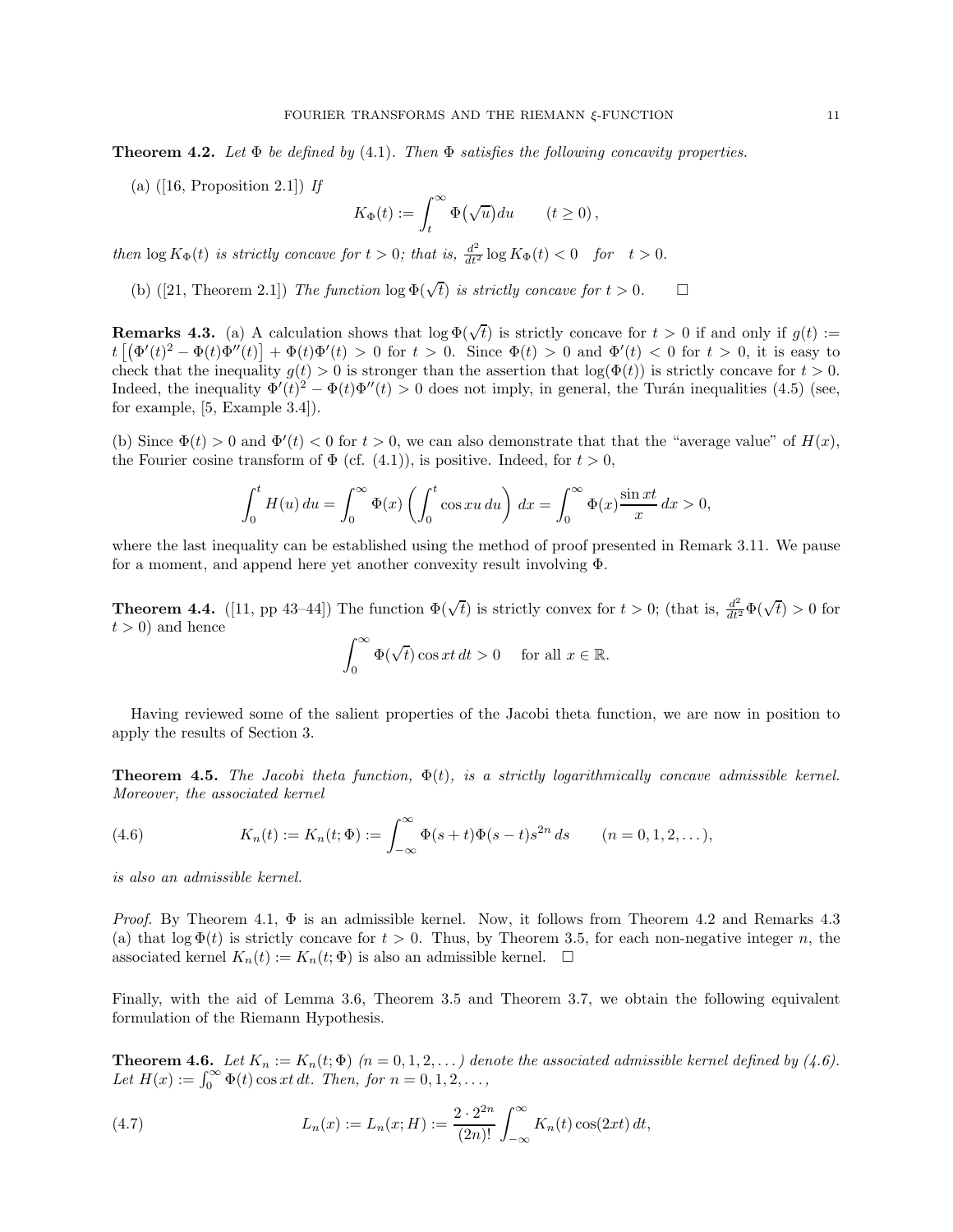**Theorem 4.2.** Let  $\Phi$  be defined by (4.1). Then  $\Phi$  satisfies the following concavity properties.

(a)  $([16, Proposition 2.1])$  If

$$
K_{\Phi}(t) := \int_{t}^{\infty} \Phi(\sqrt{u}) du \qquad (t \ge 0),
$$

then  $\log K_{\Phi}(t)$  is strictly concave for  $t > 0$ ; that is,  $\frac{d^2}{dt^2} \log K_{\Phi}(t) < 0$  for  $t > 0$ .

(b) ([21, Theorem 2.1]) The function  $\log \Phi(\sqrt{t})$  is strictly concave for  $t > 0$ .

**Remarks 4.3.** (a) A calculation shows that  $\log \Phi(\sqrt{t})$  is strictly concave for  $t > 0$  if and only if  $g(t) :=$  $t\left[\left(\Phi'(t)^2 - \Phi(t)\Phi''(t)\right) + \Phi(t)\Phi'(t) > 0 \text{ for } t > 0. \right]$  Since  $\Phi(t) > 0$  and  $\Phi'(t) < 0$  for  $t > 0$ , it is easy to check that the inequality  $g(t) > 0$  is stronger than the assertion that  $\log(\Phi(t))$  is strictly concave for  $t > 0$ . Indeed, the inequality  $\Phi'(t)^2 - \Phi(t)\Phi''(t) > 0$  does not imply, in general, the Turán inequalities (4.5) (see, for example, [5, Example 3.4]).

(b) Since  $\Phi(t) > 0$  and  $\Phi'(t) < 0$  for  $t > 0$ , we can also demonstrate that that the "average value" of  $H(x)$ , the Fourier cosine transform of  $\Phi$  (cf. (4.1)), is positive. Indeed, for  $t > 0$ ,

$$
\int_0^t H(u) du = \int_0^\infty \Phi(x) \left( \int_0^t \cos x u du \right) dx = \int_0^\infty \Phi(x) \frac{\sin x t}{x} dx > 0,
$$

where the last inequality can be established using the method of proof presented in Remark 3.11. We pause for a moment, and append here yet another convexity result involving Φ.

**Theorem 4.4.** ([11, pp 43–44]) The function  $\Phi(\sqrt{t})$  is strictly convex for  $t > 0$ ; (that is,  $\frac{d^2}{dt^2}\Phi(\sqrt{t}) > 0$  for  $t > 0$  and hence

$$
\int_0^\infty \Phi(\sqrt{t}) \cos xt \, dt > 0 \quad \text{ for all } x \in \mathbb{R}.
$$

Having reviewed some of the salient properties of the Jacobi theta function, we are now in position to apply the results of Section 3.

**Theorem 4.5.** The Jacobi theta function,  $\Phi(t)$ , is a strictly logarithmically concave admissible kernel. Moreover, the associated kernel

(4.6) 
$$
K_n(t) := K_n(t; \Phi) := \int_{-\infty}^{\infty} \Phi(s+t) \Phi(s-t) s^{2n} ds \qquad (n = 0, 1, 2, ...),
$$

is also an admissible kernel.

*Proof.* By Theorem 4.1,  $\Phi$  is an admissible kernel. Now, it follows from Theorem 4.2 and Remarks 4.3 (a) that  $\log \Phi(t)$  is strictly concave for  $t > 0$ . Thus, by Theorem 3.5, for each non-negative integer n, the associated kernel  $K_n(t) := K_n(t; \Phi)$  is also an admissible kernel.  $\Box$ 

Finally, with the aid of Lemma 3.6, Theorem 3.5 and Theorem 3.7, we obtain the following equivalent formulation of the Riemann Hypothesis.

**Theorem 4.6.** Let  $K_n := K_n(t; \Phi)$   $(n = 0, 1, 2, ...)$  denote the associated admissible kernel defined by (4.6). Let  $H(x) := \int_0^\infty \Phi(t) \cos xt \, dt$ . Then, for  $n = 0, 1, 2, ...,$ 

(4.7) 
$$
L_n(x) := L_n(x;H) := \frac{2 \cdot 2^{2n}}{(2n)!} \int_{-\infty}^{\infty} K_n(t) \cos(2xt) dt,
$$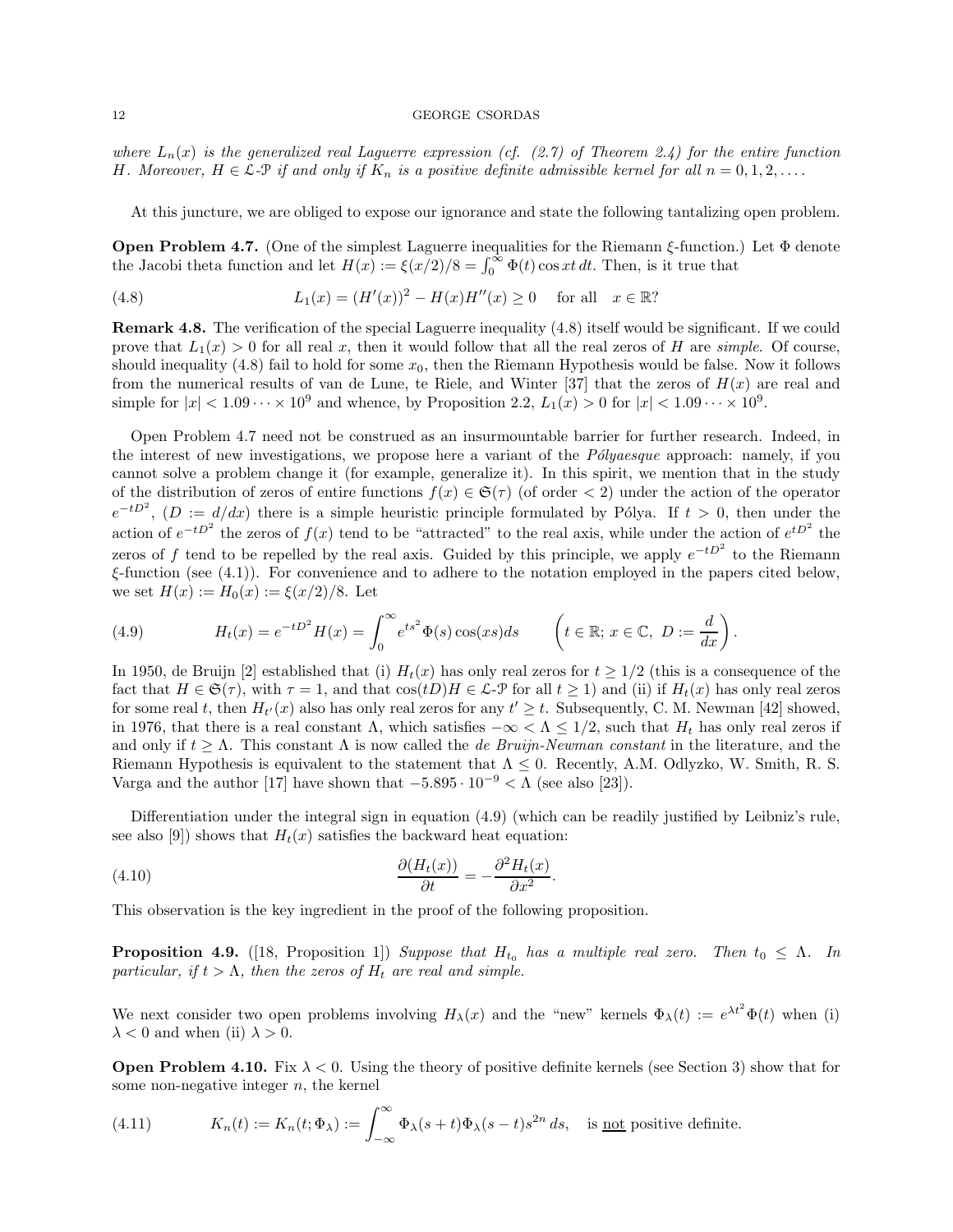where  $L_n(x)$  is the generalized real Laguerre expression (cf. (2.7) of Theorem 2.4) for the entire function H. Moreover,  $H \in \mathcal{L}\text{-}\mathcal{P}$  if and only if  $K_n$  is a positive definite admissible kernel for all  $n = 0, 1, 2, \ldots$ .

At this juncture, we are obliged to expose our ignorance and state the following tantalizing open problem.

**Open Problem 4.7.** (One of the simplest Laguerre inequalities for the Riemann  $\xi$ -function.) Let  $\Phi$  denote the Jacobi theta function and let  $H(x) := \xi(x/2)/8 = \int_0^\infty \Phi(t) \cos xt \, dt$ . Then, is it true that

(4.8) 
$$
L_1(x) = (H'(x))^2 - H(x)H''(x) \ge 0 \text{ for all } x \in \mathbb{R}^2
$$

Remark 4.8. The verification of the special Laguerre inequality (4.8) itself would be significant. If we could prove that  $L_1(x) > 0$  for all real x, then it would follow that all the real zeros of H are simple. Of course, should inequality (4.8) fail to hold for some  $x_0$ , then the Riemann Hypothesis would be false. Now it follows from the numerical results of van de Lune, te Riele, and Winter [37] that the zeros of  $H(x)$  are real and simple for  $|x| < 1.09 \cdots \times 10^9$  and whence, by Proposition 2.2,  $L_1(x) > 0$  for  $|x| < 1.09 \cdots \times 10^9$ .

Open Problem 4.7 need not be construed as an insurmountable barrier for further research. Indeed, in the interest of new investigations, we propose here a variant of the *Polyaesque* approach: namely, if you cannot solve a problem change it (for example, generalize it). In this spirit, we mention that in the study of the distribution of zeros of entire functions  $f(x) \in \mathfrak{S}(\tau)$  (of order < 2) under the action of the operator  $e^{-tD^2}$ ,  $(D := d/dx)$  there is a simple heuristic principle formulated by Pólya. If  $t > 0$ , then under the action of  $e^{-tD^2}$  the zeros of  $f(x)$  tend to be "attracted" to the real axis, while under the action of  $e^{tD^2}$  the zeros of f tend to be repelled by the real axis. Guided by this principle, we apply  $e^{-tD^2}$  to the Riemann  $\xi$ -function (see (4.1)). For convenience and to adhere to the notation employed in the papers cited below, we set  $H(x) := H_0(x) := \xi(x/2)/8$ . Let

(4.9) 
$$
H_t(x) = e^{-tD^2}H(x) = \int_0^\infty e^{ts^2} \Phi(s) \cos(xs) ds \qquad \left(t \in \mathbb{R}; x \in \mathbb{C}, D := \frac{d}{dx}\right).
$$

In 1950, de Bruijn [2] established that (i)  $H_t(x)$  has only real zeros for  $t \geq 1/2$  (this is a consequence of the fact that  $H \in \mathfrak{S}(\tau)$ , with  $\tau = 1$ , and that  $\cos(t)H \in \mathcal{L}\text{-}\mathcal{P}$  for all  $t \geq 1$ ) and (ii) if  $H_t(x)$  has only real zeros for some real t, then  $H_{t'}(x)$  also has only real zeros for any  $t' \geq t$ . Subsequently, C. M. Newman [42] showed, in 1976, that there is a real constant  $\Lambda$ , which satisfies  $-\infty < \Lambda \leq 1/2$ , such that  $H_t$  has only real zeros if and only if  $t \geq \Lambda$ . This constant  $\Lambda$  is now called the *de Bruijn-Newman constant* in the literature, and the Riemann Hypothesis is equivalent to the statement that  $\Lambda \leq 0$ . Recently, A.M. Odlyzko, W. Smith, R. S. Varga and the author [17] have shown that  $-5.895 \cdot 10^{-9} < \Lambda$  (see also [23]).

Differentiation under the integral sign in equation (4.9) (which can be readily justified by Leibniz's rule, see also [9]) shows that  $H_t(x)$  satisfies the backward heat equation:

.

(4.10) 
$$
\frac{\partial (H_t(x))}{\partial t} = -\frac{\partial^2 H_t(x)}{\partial x^2}
$$

This observation is the key ingredient in the proof of the following proposition.

**Proposition 4.9.** ([18, Proposition 1]) Suppose that  $H_{t_0}$  has a multiple real zero. Then  $t_0 \leq \Lambda$ . In particular, if  $t > \Lambda$ , then the zeros of  $H_t$  are real and simple.

We next consider two open problems involving  $H_{\lambda}(x)$  and the "new" kernels  $\Phi_{\lambda}(t) := e^{\lambda t^2} \Phi(t)$  when (i)  $\lambda < 0$  and when (ii)  $\lambda > 0$ .

**Open Problem 4.10.** Fix  $\lambda < 0$ . Using the theory of positive definite kernels (see Section 3) show that for some non-negative integer  $n$ , the kernel

(4.11) 
$$
K_n(t) := K_n(t; \Phi_\lambda) := \int_{-\infty}^{\infty} \Phi_\lambda(s+t) \Phi_\lambda(s-t) s^{2n} ds, \text{ is not positive definite.}
$$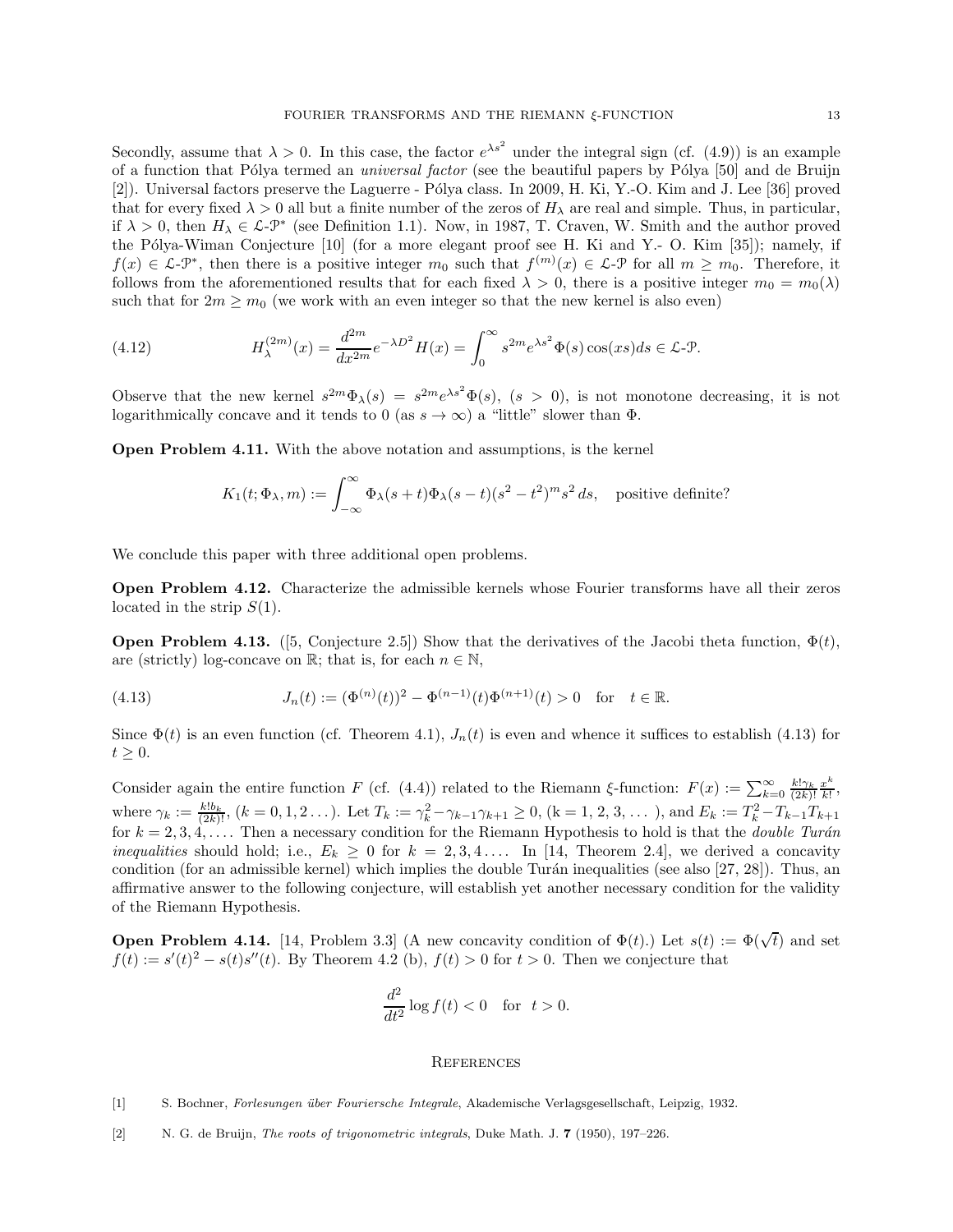Secondly, assume that  $\lambda > 0$ . In this case, the factor  $e^{\lambda s^2}$  under the integral sign (cf. (4.9)) is an example of a function that Pólya termed an *universal factor* (see the beautiful papers by Pólya [50] and de Bruijn [2]). Universal factors preserve the Laguerre - Pólya class. In 2009, H. Ki, Y.-O. Kim and J. Lee [36] proved that for every fixed  $\lambda > 0$  all but a finite number of the zeros of  $H_{\lambda}$  are real and simple. Thus, in particular, if  $\lambda > 0$ , then  $H_{\lambda} \in \mathcal{L}$ - $\mathcal{P}^*$  (see Definition 1.1). Now, in 1987, T. Craven, W. Smith and the author proved the Pólya-Wiman Conjecture  $[10]$  (for a more elegant proof see H. Ki and Y.- O. Kim  $[35]$ ); namely, if  $f(x) \in \mathcal{L} - \mathcal{P}^*$ , then there is a positive integer  $m_0$  such that  $f^{(m)}(x) \in \mathcal{L} - \mathcal{P}$  for all  $m \geq m_0$ . Therefore, it follows from the aforementioned results that for each fixed  $\lambda > 0$ , there is a positive integer  $m_0 = m_0(\lambda)$ such that for  $2m \geq m_0$  (we work with an even integer so that the new kernel is also even)

(4.12) 
$$
H_{\lambda}^{(2m)}(x) = \frac{d^{2m}}{dx^{2m}}e^{-\lambda D^2}H(x) = \int_0^\infty s^{2m}e^{\lambda s^2}\Phi(s)\cos(xs)ds \in \mathcal{L}\text{-}\mathcal{P}.
$$

Observe that the new kernel  $s^{2m}\Phi_{\lambda}(s) = s^{2m}e^{\lambda s^2}\Phi(s)$ ,  $(s > 0)$ , is not monotone decreasing, it is not logarithmically concave and it tends to 0 (as  $s \to \infty$ ) a "little" slower than  $\Phi$ .

Open Problem 4.11. With the above notation and assumptions, is the kernel

$$
K_1(t; \Phi_\lambda, m) := \int_{-\infty}^{\infty} \Phi_\lambda(s+t) \Phi_\lambda(s-t) (s^2 - t^2)^m s^2 ds, \text{ positive definite?}
$$

We conclude this paper with three additional open problems.

Open Problem 4.12. Characterize the admissible kernels whose Fourier transforms have all their zeros located in the strip  $S(1)$ .

**Open Problem 4.13.** ([5, Conjecture 2.5]) Show that the derivatives of the Jacobi theta function,  $\Phi(t)$ , are (strictly) log-concave on  $\mathbb{R}$ ; that is, for each  $n \in \mathbb{N}$ ,

(4.13) 
$$
J_n(t) := (\Phi^{(n)}(t))^2 - \Phi^{(n-1)}(t)\Phi^{(n+1)}(t) > 0 \text{ for } t \in \mathbb{R}.
$$

Since  $\Phi(t)$  is an even function (cf. Theorem 4.1),  $J_n(t)$  is even and whence it suffices to establish (4.13) for  $t \geq 0$ .

Consider again the entire function F (cf. (4.4)) related to the Riemann ξ-function:  $F(x) := \sum_{k=0}^{\infty} \frac{k! \gamma_k x^k}{(2k)! \; k!}$  $\frac{x}{k!}$ , where  $\gamma_k := \frac{k! b_k}{(2k)!}$ ,  $(k = 0, 1, 2, \ldots)$ . Let  $T_k := \gamma_k^2 - \gamma_{k-1}\gamma_{k+1} \geq 0$ ,  $(k = 1, 2, 3, \ldots)$ , and  $E_k := T_k^2 - T_{k-1}T_{k+1}$ for  $k = 2, 3, 4, \ldots$ . Then a necessary condition for the Riemann Hypothesis to hold is that the *double Turán inequalities* should hold; i.e.,  $E_k \geq 0$  for  $k = 2, 3, 4, \ldots$  In [14, Theorem 2.4], we derived a concavity condition (for an admissible kernel) which implies the double Turán inequalities (see also  $[27, 28]$ ). Thus, an affirmative answer to the following conjecture, will establish yet another necessary condition for the validity of the Riemann Hypothesis.

**Open Problem 4.14.** [14, Problem 3.3] (A new concavity condition of  $\Phi(t)$ .) Let  $s(t) := \Phi(\sqrt{t})$  and set  $f(t) := s'(t)^2 - s(t)s''(t)$ . By Theorem 4.2 (b),  $f(t) > 0$  for  $t > 0$ . Then we conjecture that

$$
\frac{d^2}{dt^2}\log f(t) < 0 \quad \text{for} \quad t > 0.
$$

## **REFERENCES**

[2] N. G. de Bruijn, The roots of trigonometric integrals, Duke Math. J. 7 (1950), 197–226.

<sup>[1]</sup> S. Bochner, Forlesungen über Fouriersche Integrale, Akademische Verlagsgesellschaft, Leipzig, 1932.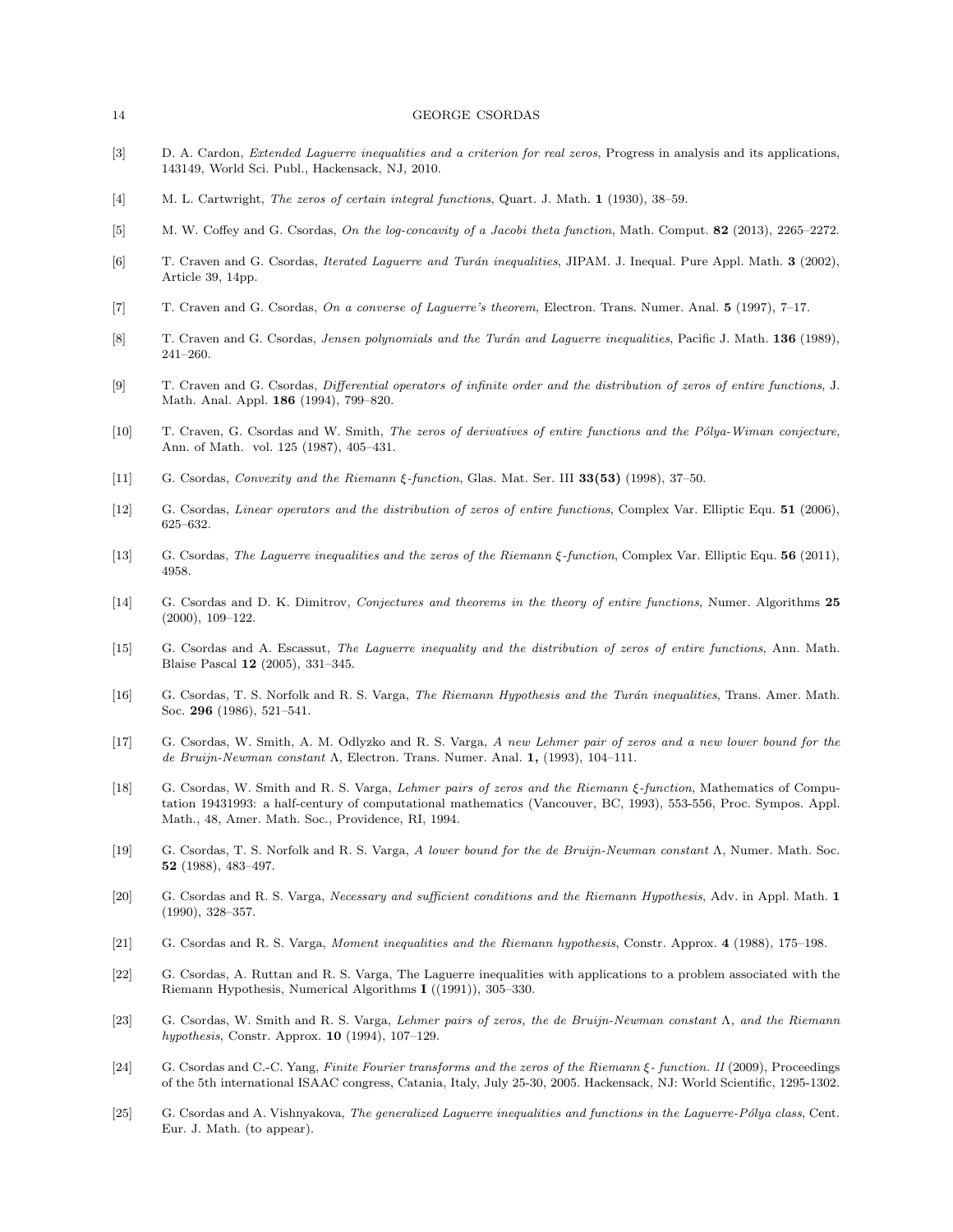- [3] D. A. Cardon, *Extended Laguerre inequalities and a criterion for real zeros*, Progress in analysis and its applications, 143149, World Sci. Publ., Hackensack, NJ, 2010.
- [4] M. L. Cartwright, The zeros of certain integral functions, Quart. J. Math. 1 (1930), 38–59.
- [5] M. W. Coffey and G. Csordas, On the log-concavity of a Jacobi theta function, Math. Comput. 82 (2013), 2265–2272.
- [6] T. Craven and G. Csordas, Iterated Laguerre and Turán inequalities, JIPAM. J. Inequal. Pure Appl. Math. 3 (2002), Article 39, 14pp.
- [7] T. Craven and G. Csordas, On a converse of Laguerre's theorem, Electron. Trans. Numer. Anal. 5 (1997), 7–17.
- [8] T. Craven and G. Csordas, Jensen polynomials and the Turán and Laguerre inequalities, Pacific J. Math. 136 (1989), 241–260.
- [9] T. Craven and G. Csordas, Differential operators of infinite order and the distribution of zeros of entire functions, J. Math. Anal. Appl. 186 (1994), 799–820.
- [10] T. Craven, G. Csordas and W. Smith, The zeros of derivatives of entire functions and the Pólya-Wiman conjecture, Ann. of Math. vol. 125 (1987), 405–431.
- [11] G. Csordas, Convexity and the Riemann ξ-function, Glas. Mat. Ser. III 33(53) (1998), 37–50.
- [12] G. Csordas, *Linear operators and the distribution of zeros of entire functions*, Complex Var. Elliptic Equ. **51** (2006), 625–632.
- [13] G. Csordas, The Laguerre inequalities and the zeros of the Riemann ξ-function, Complex Var. Elliptic Equ. 56 (2011), 4958.
- [14] G. Csordas and D. K. Dimitrov, Conjectures and theorems in the theory of entire functions, Numer. Algorithms 25 (2000), 109–122.
- [15] G. Csordas and A. Escassut, The Laguerre inequality and the distribution of zeros of entire functions, Ann. Math. Blaise Pascal 12 (2005), 331–345.
- [16] G. Csordas, T. S. Norfolk and R. S. Varga, The Riemann Hypothesis and the Turán inequalities, Trans. Amer. Math. Soc. 296 (1986), 521–541.
- [17] G. Csordas, W. Smith, A. M. Odlyzko and R. S. Varga, A new Lehmer pair of zeros and a new lower bound for the de Bruijn-Newman constant Λ, Electron. Trans. Numer. Anal. 1, (1993), 104–111.
- [18] G. Csordas, W. Smith and R. S. Varga, Lehmer pairs of zeros and the Riemann ξ-function, Mathematics of Computation 19431993: a half-century of computational mathematics (Vancouver, BC, 1993), 553-556, Proc. Sympos. Appl. Math., 48, Amer. Math. Soc., Providence, RI, 1994.
- [19] G. Csordas, T. S. Norfolk and R. S. Varga, A lower bound for the de Bruijn-Newman constant Λ, Numer. Math. Soc. 52 (1988), 483–497.
- [20] G. Csordas and R. S. Varga, Necessary and sufficient conditions and the Riemann Hypothesis, Adv. in Appl. Math. 1 (1990), 328–357.
- [21] G. Csordas and R. S. Varga, Moment inequalities and the Riemann hypothesis, Constr. Approx. 4 (1988), 175–198.
- [22] G. Csordas, A. Ruttan and R. S. Varga, The Laguerre inequalities with applications to a problem associated with the Riemann Hypothesis, Numerical Algorithms I ((1991)), 305–330.
- [23] G. Csordas, W. Smith and R. S. Varga, Lehmer pairs of zeros, the de Bruijn-Newman constant Λ, and the Riemann hypothesis, Constr. Approx. 10 (1994), 107–129.
- [24] G. Csordas and C.-C. Yang, Finite Fourier transforms and the zeros of the Riemann  $\xi$  function. II (2009), Proceedings of the 5th international ISAAC congress, Catania, Italy, July 25-30, 2005. Hackensack, NJ: World Scientific, 1295-1302.
- [25] G. Csordas and A. Vishnyakova, The generalized Laguerre inequalities and functions in the Laguerre-Pólya class, Cent. Eur. J. Math. (to appear).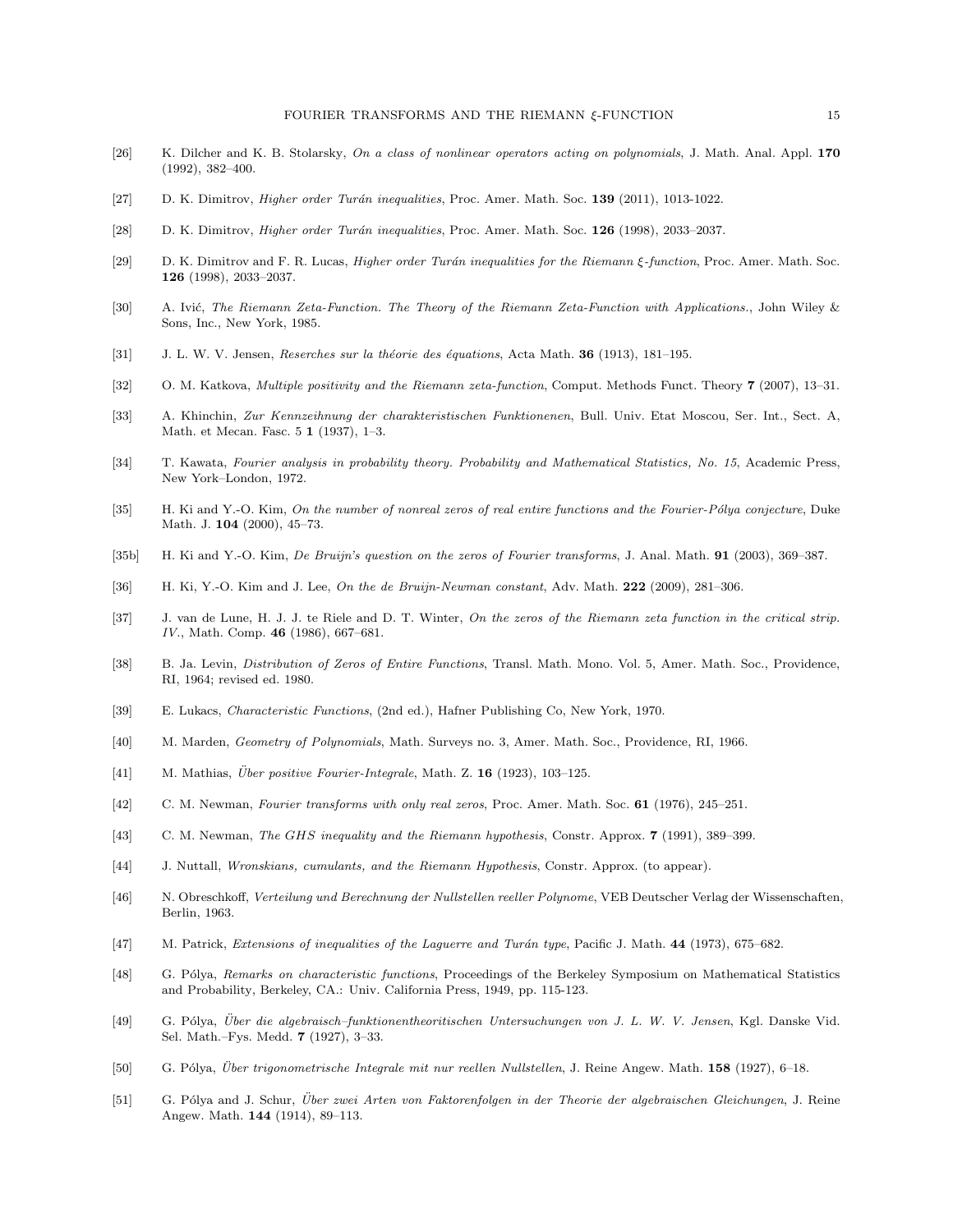- [26] K. Dilcher and K. B. Stolarsky, On a class of nonlinear operators acting on polynomials, J. Math. Anal. Appl. 170 (1992), 382–400.
- [27] D. K. Dimitrov, *Higher order Turán inequalities*, Proc. Amer. Math. Soc. 139 (2011), 1013-1022.
- [28] D. K. Dimitrov, *Higher order Turán inequalities*, Proc. Amer. Math. Soc. 126 (1998), 2033–2037.
- [29] D. K. Dimitrov and F. R. Lucas, *Higher order Turán inequalities for the Riemann ξ-function*, Proc. Amer. Math. Soc. 126 (1998), 2033–2037.
- [30] A. Ivić, The Riemann Zeta-Function. The Theory of the Riemann Zeta-Function with Applications., John Wiley & Sons, Inc., New York, 1985.
- [31] J. L. W. V. Jensen, Reserches sur la théorie des équations, Acta Math.  $36$  (1913), 181–195.
- [32] O. M. Katkova, Multiple positivity and the Riemann zeta-function, Comput. Methods Funct. Theory 7 (2007), 13–31.
- [33] A. Khinchin, Zur Kennzeihnung der charakteristischen Funktionenen, Bull. Univ. Etat Moscou, Ser. Int., Sect. A, Math. et Mecan. Fasc. 5 1 (1937), 1–3.
- [34] T. Kawata, Fourier analysis in probability theory. Probability and Mathematical Statistics, No. 15, Academic Press, New York–London, 1972.
- [35] H. Ki and Y.-O. Kim, On the number of nonreal zeros of real entire functions and the Fourier-Pólya conjecture, Duke Math. J. 104 (2000), 45–73.
- [35b] H. Ki and Y.-O. Kim, De Bruijn's question on the zeros of Fourier transforms, J. Anal. Math. 91 (2003), 369-387.
- [36] H. Ki, Y.-O. Kim and J. Lee, On the de Bruijn-Newman constant, Adv. Math. 222 (2009), 281–306.
- [37] J. van de Lune, H. J. J. te Riele and D. T. Winter, On the zeros of the Riemann zeta function in the critical strip. IV., Math. Comp. 46 (1986), 667-681.
- [38] B. Ja. Levin, *Distribution of Zeros of Entire Functions*, Transl. Math. Mono. Vol. 5, Amer. Math. Soc., Providence, RI, 1964; revised ed. 1980.
- [39] E. Lukacs, Characteristic Functions, (2nd ed.), Hafner Publishing Co, New York, 1970.
- [40] M. Marden, Geometry of Polynomials, Math. Surveys no. 3, Amer. Math. Soc., Providence, RI, 1966.
- [41] M. Mathias, *Über positive Fourier-Integrale*, Math. Z.  $16$  (1923), 103-125.
- [42] C. M. Newman, Fourier transforms with only real zeros, Proc. Amer. Math. Soc. 61 (1976), 245–251.
- [43] C. M. Newman, The GHS inequality and the Riemann hypothesis, Constr. Approx. 7 (1991), 389-399.
- [44] J. Nuttall, Wronskians, cumulants, and the Riemann Hypothesis, Constr. Approx. (to appear).
- [46] N. Obreschkoff, Verteilung und Berechnung der Nullstellen reeller Polynome, VEB Deutscher Verlag der Wissenschaften, Berlin, 1963.
- [47] M. Patrick, Extensions of inequalities of the Laguerre and Turán type, Pacific J. Math. 44 (1973), 675–682.
- [48] G. Pólya, Remarks on characteristic functions, Proceedings of the Berkeley Symposium on Mathematical Statistics and Probability, Berkeley, CA.: Univ. California Press, 1949, pp. 115-123.
- [49] G. Pólya, Über die algebraisch-funktionentheoritischen Untersuchungen von J. L. W. V. Jensen, Kgl. Danske Vid. Sel. Math.–Fys. Medd. 7 (1927), 3–33.
- [50] G. Pólya, Über trigonometrische Integrale mit nur reellen Nullstellen, J. Reine Angew. Math. 158 (1927), 6–18.
- [51] G. Pólya and J. Schur, Über zwei Arten von Faktorenfolgen in der Theorie der algebraischen Gleichungen, J. Reine Angew. Math. 144 (1914), 89–113.